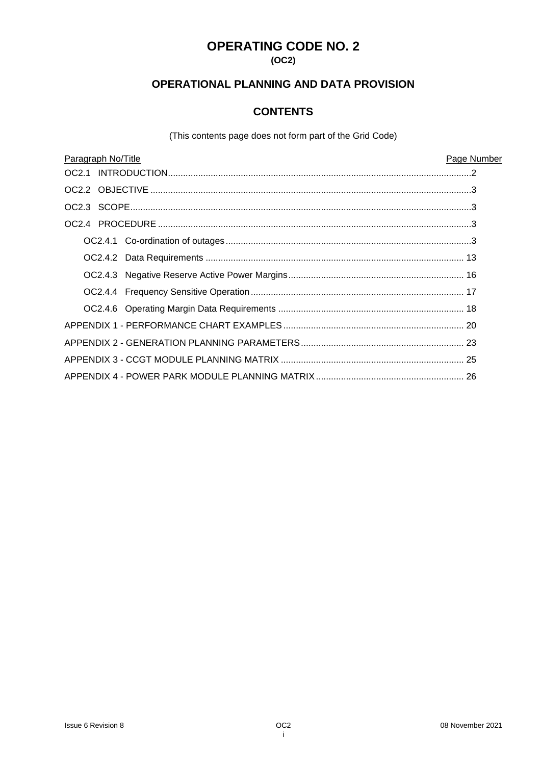# **OPERATING CODE NO. 2**

### **(OC2)**

# **OPERATIONAL PLANNING AND DATA PROVISION**

# **CONTENTS**

(This contents page does not form part of the Grid Code)

| Paragraph No/Title |  | Page Number |
|--------------------|--|-------------|
|                    |  |             |
|                    |  |             |
|                    |  |             |
|                    |  |             |
|                    |  |             |
|                    |  |             |
|                    |  |             |
|                    |  |             |
|                    |  |             |
|                    |  |             |
|                    |  |             |
|                    |  |             |
|                    |  |             |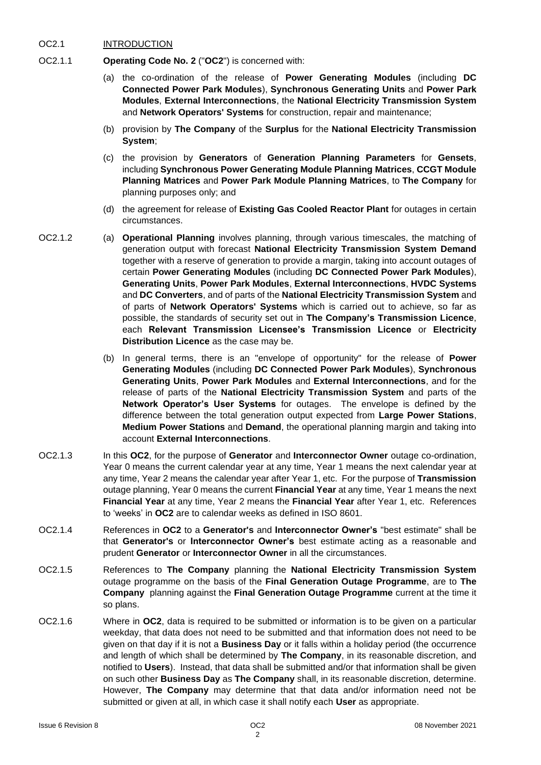#### OC2.1 INTRODUCTION

- OC2.1.1 **Operating Code No. 2** ("**OC2**") is concerned with:
	- (a) the co-ordination of the release of **Power Generating Modules** (including **DC Connected Power Park Modules**), **Synchronous Generating Units** and **Power Park Modules**, **External Interconnections**, the **National Electricity Transmission System** and **Network Operators' Systems** for construction, repair and maintenance;
	- (b) provision by **The Company** of the **Surplus** for the **National Electricity Transmission System**;
	- (c) the provision by **Generators** of **Generation Planning Parameters** for **Gensets**, including **Synchronous Power Generating Module Planning Matrices**, **CCGT Module Planning Matrices** and **Power Park Module Planning Matrices**, to **The Company** for planning purposes only; and
	- (d) the agreement for release of **Existing Gas Cooled Reactor Plant** for outages in certain circumstances.
- 
- OC2.1.2 (a) **Operational Planning** involves planning, through various timescales, the matching of generation output with forecast **National Electricity Transmission System Demand** together with a reserve of generation to provide a margin, taking into account outages of certain **Power Generating Modules** (including **DC Connected Power Park Modules**), **Generating Units**, **Power Park Modules**, **External Interconnections**, **HVDC Systems** and **DC Converters**, and of parts of the **National Electricity Transmission System** and of parts of **Network Operators' Systems** which is carried out to achieve, so far as possible, the standards of security set out in **The Company's Transmission Licence**, each **Relevant Transmission Licensee's Transmission Licence** or **Electricity Distribution Licence** as the case may be.
	- (b) In general terms, there is an "envelope of opportunity" for the release of **Power Generating Modules** (including **DC Connected Power Park Modules**), **Synchronous Generating Units**, **Power Park Modules** and **External Interconnections**, and for the release of parts of the **National Electricity Transmission System** and parts of the **Network Operator's User Systems** for outages. The envelope is defined by the difference between the total generation output expected from **Large Power Stations**, **Medium Power Stations** and **Demand**, the operational planning margin and taking into account **External Interconnections**.
- OC2.1.3 In this **OC2**, for the purpose of **Generator** and **Interconnector Owner** outage co-ordination, Year 0 means the current calendar year at any time, Year 1 means the next calendar year at any time, Year 2 means the calendar year after Year 1, etc. For the purpose of **Transmission** outage planning, Year 0 means the current **Financial Year** at any time, Year 1 means the next **Financial Year** at any time, Year 2 means the **Financial Year** after Year 1, etc. References to 'weeks' in **OC2** are to calendar weeks as defined in ISO 8601.
- OC2.1.4 References in **OC2** to a **Generator's** and **Interconnector Owner's** "best estimate" shall be that **Generator's** or **Interconnector Owner's** best estimate acting as a reasonable and prudent **Generator** or **Interconnector Owner** in all the circumstances.
- OC2.1.5 References to **The Company** planning the **National Electricity Transmission System**  outage programme on the basis of the **Final Generation Outage Programme**, are to **The Company** planning against the **Final Generation Outage Programme** current at the time it so plans.
- OC2.1.6 Where in **OC2**, data is required to be submitted or information is to be given on a particular weekday, that data does not need to be submitted and that information does not need to be given on that day if it is not a **Business Day** or it falls within a holiday period (the occurrence and length of which shall be determined by **The Company**, in its reasonable discretion, and notified to **Users**). Instead, that data shall be submitted and/or that information shall be given on such other **Business Day** as **The Company** shall, in its reasonable discretion, determine. However, **The Company** may determine that that data and/or information need not be submitted or given at all, in which case it shall notify each **User** as appropriate.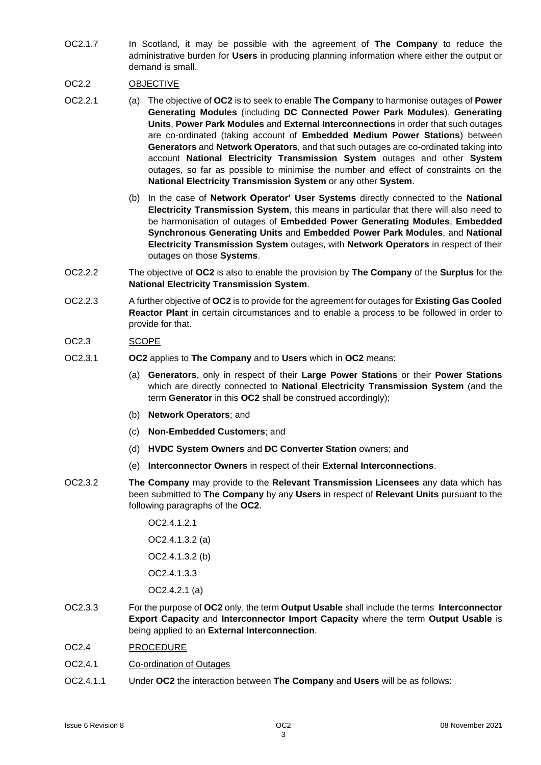OC2.1.7 In Scotland, it may be possible with the agreement of **The Company** to reduce the administrative burden for **Users** in producing planning information where either the output or demand is small.

## OC2.2 OBJECTIVE

- OC2.2.1 (a) The objective of **OC2** is to seek to enable **The Company** to harmonise outages of **Power Generating Modules** (including **DC Connected Power Park Modules**), **Generating Units**, **Power Park Modules** and **External Interconnections** in order that such outages are co-ordinated (taking account of **Embedded Medium Power Stations**) between **Generators** and **Network Operators**, and that such outages are co-ordinated taking into account **National Electricity Transmission System** outages and other **System** outages, so far as possible to minimise the number and effect of constraints on the **National Electricity Transmission System** or any other **System**.
	- (b) In the case of **Network Operator' User Systems** directly connected to the **National Electricity Transmission System**, this means in particular that there will also need to be harmonisation of outages of **Embedded Power Generating Modules**, **Embedded Synchronous Generating Units** and **Embedded Power Park Modules**, and **National Electricity Transmission System** outages, with **Network Operators** in respect of their outages on those **Systems**.
- OC2.2.2 The objective of **OC2** is also to enable the provision by **The Company** of the **Surplus** for the **National Electricity Transmission System**.
- OC2.2.3 A further objective of **OC2** is to provide for the agreement for outages for **Existing Gas Cooled Reactor Plant** in certain circumstances and to enable a process to be followed in order to provide for that.

### OC2.3 SCOPE

- OC2.3.1 **OC2** applies to **The Company** and to **Users** which in **OC2** means:
	- (a) **Generators**, only in respect of their **Large Power Stations** or their **Power Stations** which are directly connected to **National Electricity Transmission System** (and the term **Generator** in this **OC2** shall be construed accordingly);
	- (b) **Network Operators**; and
	- (c) **Non-Embedded Customers**; and
	- (d) **HVDC System Owners** and **DC Converter Station** owners; and
	- (e) **Interconnector Owners** in respect of their **External Interconnections**.
- OC2.3.2 **The Company** may provide to the **Relevant Transmission Licensees** any data which has been submitted to **The Company** by any **Users** in respect of **Relevant Units** pursuant to the following paragraphs of the **OC2**.

OC2.4.1.2.1 OC2.4.1.3.2 (a) OC2.4.1.3.2 (b)

OC2.4.1.3.3

OC2.4.2.1 (a)

- OC2.3.3 For the purpose of **OC2** only, the term **Output Usable** shall include the terms **Interconnector Export Capacity** and **Interconnector Import Capacity** where the term **Output Usable** is being applied to an **External Interconnection**.
- OC2.4 PROCEDURE
- OC2.4.1 Co-ordination of Outages
- OC2.4.1.1 Under **OC2** the interaction between **The Company** and **Users** will be as follows: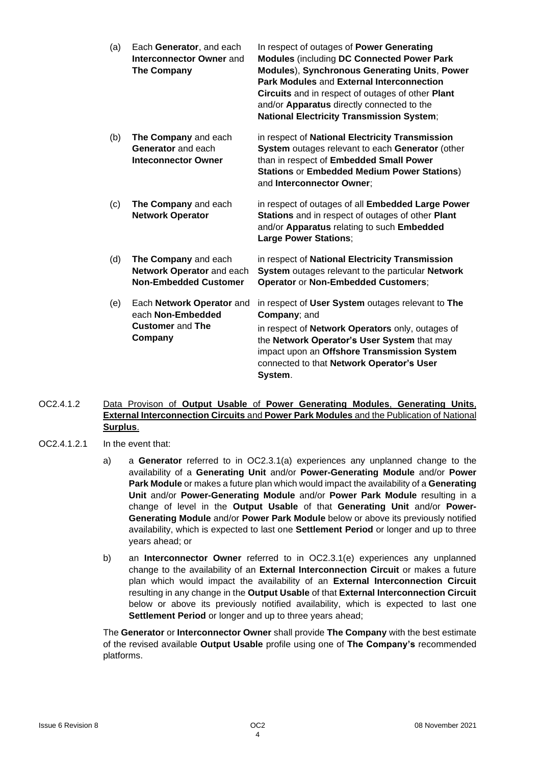| (a) | Each Generator, and each<br>Interconnector Owner and<br><b>The Company</b>           | In respect of outages of Power Generating<br><b>Modules (including DC Connected Power Park</b><br><b>Modules), Synchronous Generating Units, Power</b><br>Park Modules and External Interconnection<br>Circuits and in respect of outages of other Plant<br>and/or Apparatus directly connected to the<br><b>National Electricity Transmission System;</b> |
|-----|--------------------------------------------------------------------------------------|------------------------------------------------------------------------------------------------------------------------------------------------------------------------------------------------------------------------------------------------------------------------------------------------------------------------------------------------------------|
| (b) | The Company and each<br>Generator and each<br><b>Inteconnector Owner</b>             | in respect of National Electricity Transmission<br>System outages relevant to each Generator (other<br>than in respect of Embedded Small Power<br><b>Stations or Embedded Medium Power Stations)</b><br>and Interconnector Owner;                                                                                                                          |
| (c) | The Company and each<br><b>Network Operator</b>                                      | in respect of outages of all Embedded Large Power<br>Stations and in respect of outages of other Plant<br>and/or Apparatus relating to such Embedded<br>Large Power Stations;                                                                                                                                                                              |
| (d) | The Company and each<br>Network Operator and each<br><b>Non-Embedded Customer</b>    | in respect of National Electricity Transmission<br>System outages relevant to the particular Network<br><b>Operator or Non-Embedded Customers;</b>                                                                                                                                                                                                         |
| (e) | Each Network Operator and<br>each Non-Embedded<br><b>Customer and The</b><br>Company | in respect of User System outages relevant to The<br>Company; and<br>in respect of Network Operators only, outages of<br>the Network Operator's User System that may<br>impact upon an Offshore Transmission System<br>connected to that Network Operator's User<br>System.                                                                                |

- OC2.4.1.2 Data Provison of **Output Usable** of **Power Generating Modules**, **Generating Units**, **External Interconnection Circuits** and **Power Park Modules** and the Publication of National **Surplus**.
- OC2.4.1.2.1 In the event that:
	- a) a **Generator** referred to in OC2.3.1(a) experiences any unplanned change to the availability of a **Generating Unit** and/or **Power-Generating Module** and/or **Power Park Module** or makes a future plan which would impact the availability of a **Generating Unit** and/or **Power-Generating Module** and/or **Power Park Module** resulting in a change of level in the **Output Usable** of that **Generating Unit** and/or **Power-Generating Module** and/or **Power Park Module** below or above its previously notified availability, which is expected to last one **Settlement Period** or longer and up to three years ahead; or
	- b) an **Interconnector Owner** referred to in OC2.3.1(e) experiences any unplanned change to the availability of an **External Interconnection Circuit** or makes a future plan which would impact the availability of an **External Interconnection Circuit**  resulting in any change in the **Output Usable** of that **External Interconnection Circuit**  below or above its previously notified availability, which is expected to last one **Settlement Period** or longer and up to three years ahead;

The **Generator** or **Interconnector Owner** shall provide **The Company** with the best estimate of the revised available **Output Usable** profile using one of **The Company's** recommended platforms.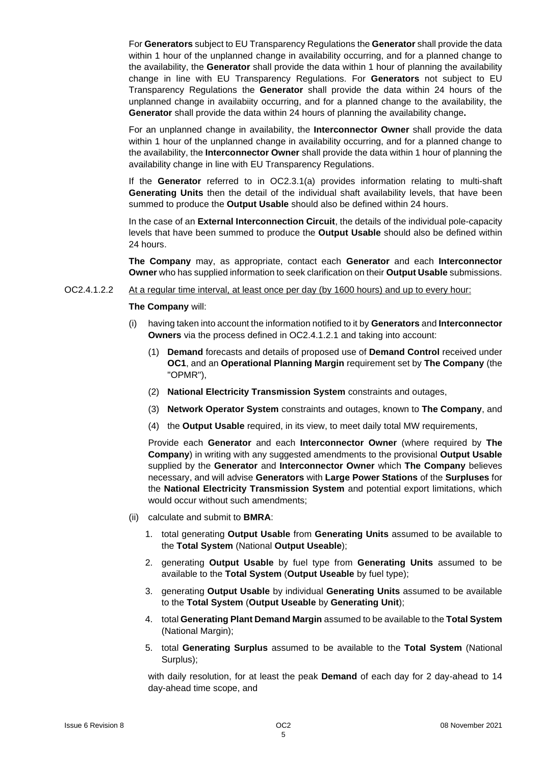For **Generators** subject to EU Transparency Regulations the **Generator** shall provide the data within 1 hour of the unplanned change in availability occurring, and for a planned change to the availability, the **Generator** shall provide the data within 1 hour of planning the availability change in line with EU Transparency Regulations. For **Generators** not subject to EU Transparency Regulations the **Generator** shall provide the data within 24 hours of the unplanned change in availabiity occurring, and for a planned change to the availability, the **Generator** shall provide the data within 24 hours of planning the availability change**.**

For an unplanned change in availability, the **Interconnector Owner** shall provide the data within 1 hour of the unplanned change in availability occurring, and for a planned change to the availability, the **Interconnector Owner** shall provide the data within 1 hour of planning the availability change in line with EU Transparency Regulations.

If the **Generator** referred to in OC2.3.1(a) provides information relating to multi-shaft **Generating Units** then the detail of the individual shaft availability levels, that have been summed to produce the **Output Usable** should also be defined within 24 hours.

In the case of an **External Interconnection Circuit**, the details of the individual pole-capacity levels that have been summed to produce the **Output Usable** should also be defined within 24 hours.

**The Company** may, as appropriate, contact each **Generator** and each **Interconnector Owner** who has supplied information to seek clarification on their **Output Usable** submissions.

#### OC2.4.1.2.2 At a regular time interval, at least once per day (by 1600 hours) and up to every hour:

#### **The Company** will:

- (i) having taken into account the information notified to it by **Generators** and **Interconnector Owners** via the process defined in OC2.4.1.2.1 and taking into account:
	- (1) **Demand** forecasts and details of proposed use of **Demand Control** received under **OC1**, and an **Operational Planning Margin** requirement set by **The Company** (the "OPMR"),
	- (2) **National Electricity Transmission System** constraints and outages,
	- (3) **Network Operator System** constraints and outages, known to **The Company**, and
	- (4) the **Output Usable** required, in its view, to meet daily total MW requirements,

Provide each **Generator** and each **Interconnector Owner** (where required by **The Company**) in writing with any suggested amendments to the provisional **Output Usable** supplied by the **Generator** and **Interconnector Owner** which **The Company** believes necessary, and will advise **Generators** with **Large Power Stations** of the **Surpluses** for the **National Electricity Transmission System** and potential export limitations, which would occur without such amendments;

- (ii) calculate and submit to **BMRA**:
	- 1. total generating **Output Usable** from **Generating Units** assumed to be available to the **Total System** (National **Output Useable**);
	- 2. generating **Output Usable** by fuel type from **Generating Units** assumed to be available to the **Total System** (**Output Useable** by fuel type);
	- 3. generating **Output Usable** by individual **Generating Units** assumed to be available to the **Total System** (**Output Useable** by **Generating Unit**);
	- 4. total **Generating Plant Demand Margin** assumed to be available to the **Total System** (National Margin);
	- 5. total **Generating Surplus** assumed to be available to the **Total System** (National Surplus);

with daily resolution, for at least the peak **Demand** of each day for 2 day-ahead to 14 day-ahead time scope, and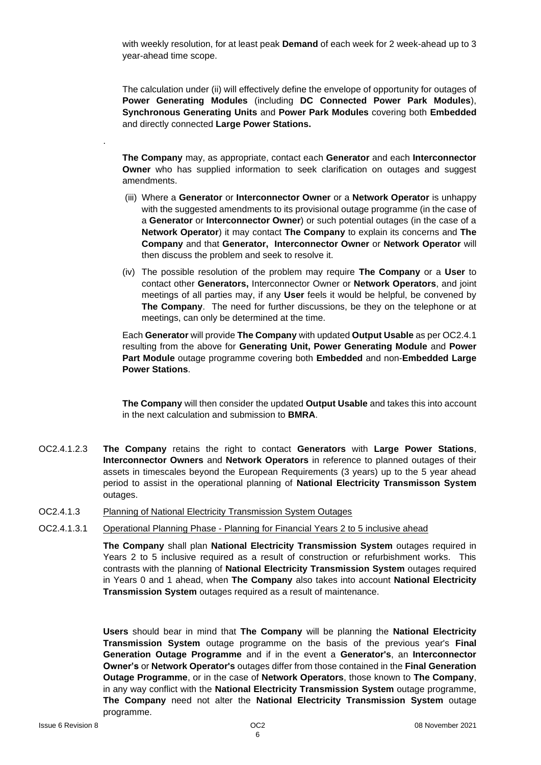with weekly resolution, for at least peak **Demand** of each week for 2 week-ahead up to 3 year-ahead time scope.

The calculation under (ii) will effectively define the envelope of opportunity for outages of **Power Generating Modules** (including **DC Connected Power Park Modules**), **Synchronous Generating Units** and **Power Park Modules** covering both **Embedded** and directly connected **Large Power Stations.**

**The Company** may, as appropriate, contact each **Generator** and each **Interconnector Owner** who has supplied information to seek clarification on outages and suggest amendments.

- (iii) Where a **Generator** or **Interconnector Owner** or a **Network Operator** is unhappy with the suggested amendments to its provisional outage programme (in the case of a **Generator** or **Interconnector Owner**) or such potential outages (in the case of a **Network Operator**) it may contact **The Company** to explain its concerns and **The Company** and that **Generator, Interconnector Owner** or **Network Operator** will then discuss the problem and seek to resolve it.
- (iv) The possible resolution of the problem may require **The Company** or a **User** to contact other **Generators,** Interconnector Owner or **Network Operators**, and joint meetings of all parties may, if any **User** feels it would be helpful, be convened by **The Company**. The need for further discussions, be they on the telephone or at meetings, can only be determined at the time.

Each **Generator** will provide **The Company** with updated **Output Usable** as per OC2.4.1 resulting from the above for **Generating Unit, Power Generating Module** and **Power Part Module** outage programme covering both **Embedded** and non-**Embedded Large Power Stations**.

**The Company** will then consider the updated **Output Usable** and takes this into account in the next calculation and submission to **BMRA**.

- OC2.4.1.2.3 **The Company** retains the right to contact **Generators** with **Large Power Stations**, **Interconnector Owners** and **Network Operators** in reference to planned outages of their assets in timescales beyond the European Requirements (3 years) up to the 5 year ahead period to assist in the operational planning of **National Electricity Transmisson System**  outages.
- OC2.4.1.3 Planning of National Electricity Transmission System Outages
- OC2.4.1.3.1 Operational Planning Phase Planning for Financial Years 2 to 5 inclusive ahead

**The Company** shall plan **National Electricity Transmission System** outages required in Years 2 to 5 inclusive required as a result of construction or refurbishment works. This contrasts with the planning of **National Electricity Transmission System** outages required in Years 0 and 1 ahead, when **The Company** also takes into account **National Electricity Transmission System** outages required as a result of maintenance.

**Users** should bear in mind that **The Company** will be planning the **National Electricity Transmission System** outage programme on the basis of the previous year's **Final Generation Outage Programme** and if in the event a **Generator's**, an **Interconnector Owner's** or **Network Operator's** outages differ from those contained in the **Final Generation Outage Programme**, or in the case of **Network Operators**, those known to **The Company**, in any way conflict with the **National Electricity Transmission System** outage programme, **The Company** need not alter the **National Electricity Transmission System** outage programme.

.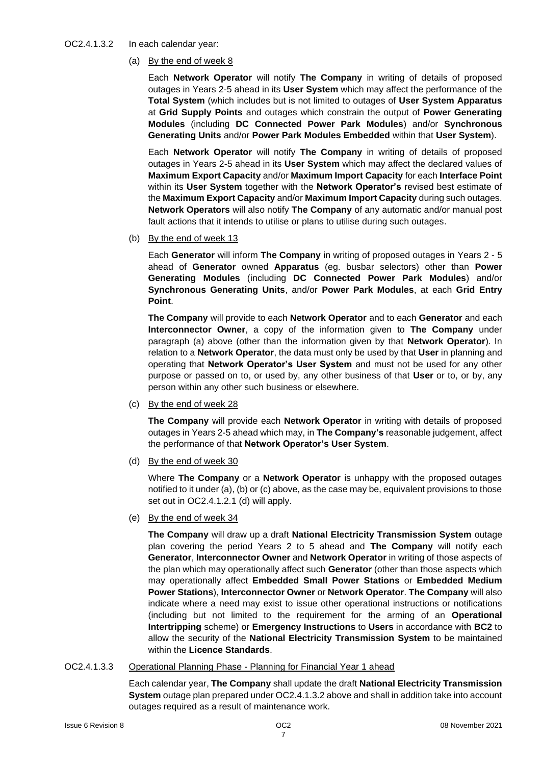#### OC2.4.1.3.2 In each calendar year:

(a) By the end of week 8

Each **Network Operator** will notify **The Company** in writing of details of proposed outages in Years 2-5 ahead in its **User System** which may affect the performance of the **Total System** (which includes but is not limited to outages of **User System Apparatus** at **Grid Supply Points** and outages which constrain the output of **Power Generating Modules** (including **DC Connected Power Park Modules**) and/or **Synchronous Generating Units** and/or **Power Park Modules Embedded** within that **User System**).

Each **Network Operator** will notify **The Company** in writing of details of proposed outages in Years 2-5 ahead in its **User System** which may affect the declared values of **Maximum Export Capacity** and/or **Maximum Import Capacity** for each **Interface Point** within its **User System** together with the **Network Operator's** revised best estimate of the **Maximum Export Capacity** and/or **Maximum Import Capacity** during such outages. **Network Operators** will also notify **The Company** of any automatic and/or manual post fault actions that it intends to utilise or plans to utilise during such outages.

(b) By the end of week 13

Each **Generator** will inform **The Company** in writing of proposed outages in Years 2 - 5 ahead of **Generator** owned **Apparatus** (eg. busbar selectors) other than **Power Generating Modules** (including **DC Connected Power Park Modules**) and/or **Synchronous Generating Units**, and/or **Power Park Modules**, at each **Grid Entry Point**.

**The Company** will provide to each **Network Operator** and to each **Generator** and each **Interconnector Owner**, a copy of the information given to **The Company** under paragraph (a) above (other than the information given by that **Network Operator**). In relation to a **Network Operator**, the data must only be used by that **User** in planning and operating that **Network Operator's User System** and must not be used for any other purpose or passed on to, or used by, any other business of that **User** or to, or by, any person within any other such business or elsewhere.

(c) By the end of week 28

**The Company** will provide each **Network Operator** in writing with details of proposed outages in Years 2-5 ahead which may, in **The Company's** reasonable judgement, affect the performance of that **Network Operator's User System**.

(d) By the end of week 30

Where **The Company** or a **Network Operator** is unhappy with the proposed outages notified to it under (a), (b) or (c) above, as the case may be, equivalent provisions to those set out in OC2.4.1.2.1 (d) will apply.

(e) By the end of week 34

**The Company** will draw up a draft **National Electricity Transmission System** outage plan covering the period Years 2 to 5 ahead and **The Company** will notify each **Generator**, **Interconnector Owner** and **Network Operator** in writing of those aspects of the plan which may operationally affect such **Generator** (other than those aspects which may operationally affect **Embedded Small Power Stations** or **Embedded Medium Power Stations**), **Interconnector Owner** or **Network Operator**. **The Company** will also indicate where a need may exist to issue other operational instructions or notifications (including but not limited to the requirement for the arming of an **Operational Intertripping** scheme) or **Emergency Instructions** to **Users** in accordance with **BC2** to allow the security of the **National Electricity Transmission System** to be maintained within the **Licence Standards**.

OC2.4.1.3.3 Operational Planning Phase - Planning for Financial Year 1 ahead

Each calendar year, **The Company** shall update the draft **National Electricity Transmission System** outage plan prepared under OC2.4.1.3.2 above and shall in addition take into account outages required as a result of maintenance work.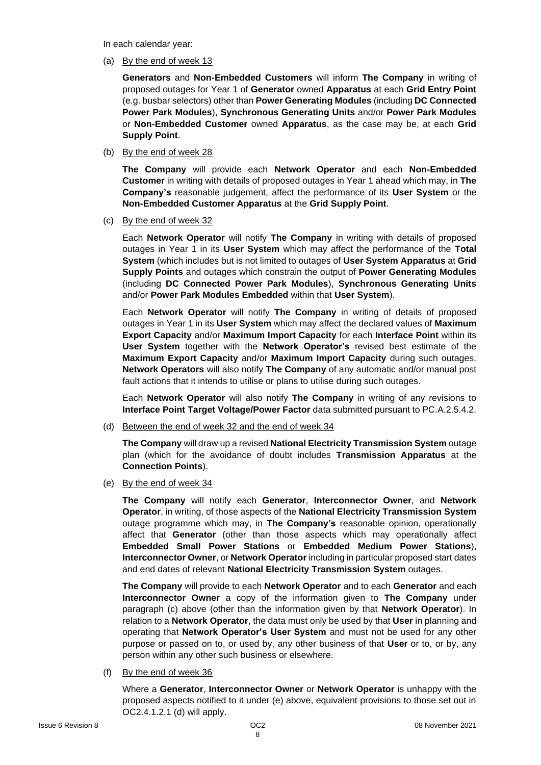In each calendar year:

(a) By the end of week 13

**Generators** and **Non-Embedded Customers** will inform **The Company** in writing of proposed outages for Year 1 of **Generator** owned **Apparatus** at each **Grid Entry Point** (e.g. busbar selectors) other than **Power Generating Modules** (including **DC Connected Power Park Modules**), **Synchronous Generating Units** and/or **Power Park Modules**  or **Non-Embedded Customer** owned **Apparatus**, as the case may be, at each **Grid Supply Point**.

(b) By the end of week 28

**The Company** will provide each **Network Operator** and each **Non-Embedded Customer** in writing with details of proposed outages in Year 1 ahead which may, in **The Company's** reasonable judgement, affect the performance of its **User System** or the **Non-Embedded Customer Apparatus** at the **Grid Supply Point**.

(c) By the end of week 32

Each **Network Operator** will notify **The Company** in writing with details of proposed outages in Year 1 in its **User System** which may affect the performance of the **Total System** (which includes but is not limited to outages of **User System Apparatus** at **Grid Supply Points** and outages which constrain the output of **Power Generating Modules** (including **DC Connected Power Park Modules**), **Synchronous Generating Units** and/or **Power Park Modules Embedded** within that **User System**).

Each **Network Operator** will notify **The Company** in writing of details of proposed outages in Year 1 in its **User System** which may affect the declared values of **Maximum Export Capacity** and/or **Maximum Import Capacity** for each **Interface Point** within its **User System** together with the **Network Operator's** revised best estimate of the **Maximum Export Capacity** and/or **Maximum Import Capacity** during such outages. **Network Operators** will also notify **The Company** of any automatic and/or manual post fault actions that it intends to utilise or plans to utilise during such outages.

Each **Network Operator** will also notify **The Company** in writing of any revisions to **Interface Point Target Voltage/Power Factor** data submitted pursuant to PC.A.2.5.4.2.

(d) Between the end of week 32 and the end of week 34

**The Company** will draw up a revised **National Electricity Transmission System** outage plan (which for the avoidance of doubt includes **Transmission Apparatus** at the **Connection Points**).

(e) By the end of week 34

**The Company** will notify each **Generator**, **Interconnector Owner**, and **Network Operator**, in writing, of those aspects of the **National Electricity Transmission System** outage programme which may, in **The Company's** reasonable opinion, operationally affect that **Generator** (other than those aspects which may operationally affect **Embedded Small Power Stations** or **Embedded Medium Power Stations**), **Interconnector Owner**, or **Network Operator** including in particular proposed start dates and end dates of relevant **National Electricity Transmission System** outages.

**The Company** will provide to each **Network Operator** and to each **Generator** and each **Interconnector Owner** a copy of the information given to **The Company** under paragraph (c) above (other than the information given by that **Network Operator**). In relation to a **Network Operator**, the data must only be used by that **User** in planning and operating that **Network Operator's User System** and must not be used for any other purpose or passed on to, or used by, any other business of that **User** or to, or by, any person within any other such business or elsewhere.

(f) By the end of week 36

Where a **Generator**, **Interconnector Owner** or **Network Operator** is unhappy with the proposed aspects notified to it under (e) above, equivalent provisions to those set out in OC2.4.1.2.1 (d) will apply.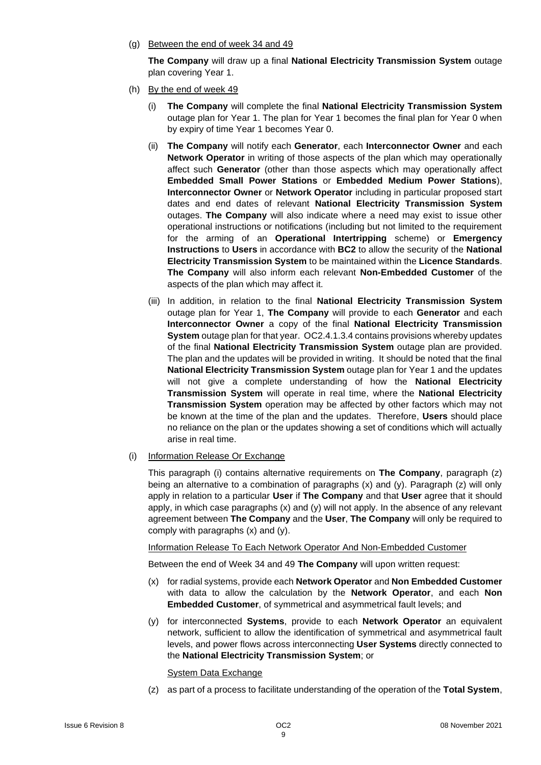(g) Between the end of week 34 and 49

**The Company** will draw up a final **National Electricity Transmission System** outage plan covering Year 1.

- (h) By the end of week 49
	- (i) **The Company** will complete the final **National Electricity Transmission System** outage plan for Year 1. The plan for Year 1 becomes the final plan for Year 0 when by expiry of time Year 1 becomes Year 0.
	- (ii) **The Company** will notify each **Generator**, each **Interconnector Owner** and each **Network Operator** in writing of those aspects of the plan which may operationally affect such **Generator** (other than those aspects which may operationally affect **Embedded Small Power Stations** or **Embedded Medium Power Stations**), **Interconnector Owner** or **Network Operator** including in particular proposed start dates and end dates of relevant **National Electricity Transmission System** outages. **The Company** will also indicate where a need may exist to issue other operational instructions or notifications (including but not limited to the requirement for the arming of an **Operational Intertripping** scheme) or **Emergency Instructions** to **Users** in accordance with **BC2** to allow the security of the **National Electricity Transmission System** to be maintained within the **Licence Standards**. **The Company** will also inform each relevant **Non-Embedded Customer** of the aspects of the plan which may affect it.
	- (iii) In addition, in relation to the final **National Electricity Transmission System**  outage plan for Year 1, **The Company** will provide to each **Generator** and each **Interconnector Owner** a copy of the final **National Electricity Transmission System** outage plan for that year. OC2.4.1.3.4 contains provisions whereby updates of the final **National Electricity Transmission System** outage plan are provided. The plan and the updates will be provided in writing. It should be noted that the final **National Electricity Transmission System** outage plan for Year 1 and the updates will not give a complete understanding of how the **National Electricity Transmission System** will operate in real time, where the **National Electricity Transmission System** operation may be affected by other factors which may not be known at the time of the plan and the updates. Therefore, **Users** should place no reliance on the plan or the updates showing a set of conditions which will actually arise in real time.
- (i) Information Release Or Exchange

This paragraph (i) contains alternative requirements on **The Company**, paragraph (z) being an alternative to a combination of paragraphs (x) and (y). Paragraph (z) will only apply in relation to a particular **User** if **The Company** and that **User** agree that it should apply, in which case paragraphs  $(x)$  and  $(y)$  will not apply. In the absence of any relevant agreement between **The Company** and the **User**, **The Company** will only be required to comply with paragraphs (x) and (y).

Information Release To Each Network Operator And Non-Embedded Customer

Between the end of Week 34 and 49 **The Company** will upon written request:

- (x) for radial systems, provide each **Network Operator** and **Non Embedded Customer** with data to allow the calculation by the **Network Operator**, and each **Non Embedded Customer**, of symmetrical and asymmetrical fault levels; and
- (y) for interconnected **Systems**, provide to each **Network Operator** an equivalent network, sufficient to allow the identification of symmetrical and asymmetrical fault levels, and power flows across interconnecting **User Systems** directly connected to the **National Electricity Transmission System**; or

System Data Exchange

(z) as part of a process to facilitate understanding of the operation of the **Total System**,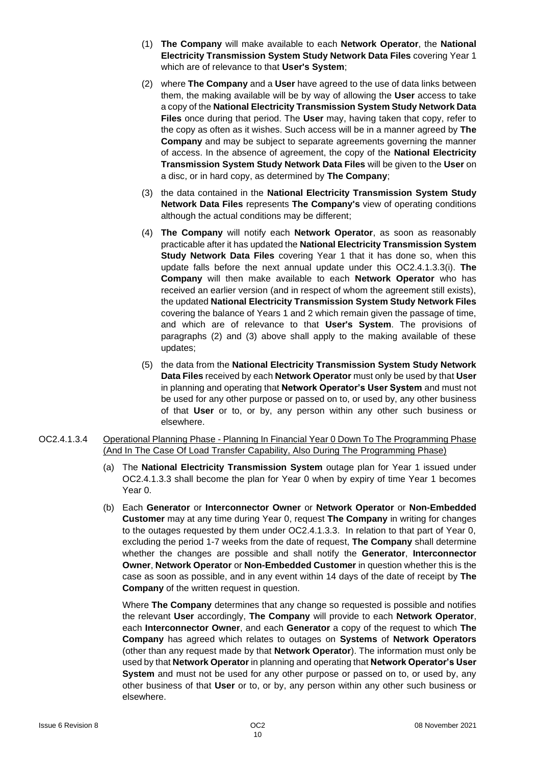- (1) **The Company** will make available to each **Network Operator**, the **National Electricity Transmission System Study Network Data Files** covering Year 1 which are of relevance to that **User's System**;
- (2) where **The Company** and a **User** have agreed to the use of data links between them, the making available will be by way of allowing the **User** access to take a copy of the **National Electricity Transmission System Study Network Data Files** once during that period. The **User** may, having taken that copy, refer to the copy as often as it wishes. Such access will be in a manner agreed by **The Company** and may be subject to separate agreements governing the manner of access. In the absence of agreement, the copy of the **National Electricity Transmission System Study Network Data Files** will be given to the **User** on a disc, or in hard copy, as determined by **The Company**;
- (3) the data contained in the **National Electricity Transmission System Study Network Data Files** represents **The Company's** view of operating conditions although the actual conditions may be different;
- (4) **The Company** will notify each **Network Operator**, as soon as reasonably practicable after it has updated the **National Electricity Transmission System Study Network Data Files** covering Year 1 that it has done so, when this update falls before the next annual update under this OC2.4.1.3.3(i). **The Company** will then make available to each **Network Operator** who has received an earlier version (and in respect of whom the agreement still exists), the updated **National Electricity Transmission System Study Network Files** covering the balance of Years 1 and 2 which remain given the passage of time, and which are of relevance to that **User's System**. The provisions of paragraphs (2) and (3) above shall apply to the making available of these updates;
- (5) the data from the **National Electricity Transmission System Study Network Data Files** received by each **Network Operator** must only be used by that **User** in planning and operating that **Network Operator's User System** and must not be used for any other purpose or passed on to, or used by, any other business of that **User** or to, or by, any person within any other such business or elsewhere.
- OC2.4.1.3.4 Operational Planning Phase Planning In Financial Year 0 Down To The Programming Phase (And In The Case Of Load Transfer Capability, Also During The Programming Phase)
	- (a) The **National Electricity Transmission System** outage plan for Year 1 issued under OC2.4.1.3.3 shall become the plan for Year 0 when by expiry of time Year 1 becomes Year 0.
	- (b) Each **Generator** or **Interconnector Owner** or **Network Operator** or **Non-Embedded Customer** may at any time during Year 0, request **The Company** in writing for changes to the outages requested by them under OC2.4.1.3.3. In relation to that part of Year 0, excluding the period 1-7 weeks from the date of request, **The Company** shall determine whether the changes are possible and shall notify the **Generator**, **Interconnector Owner**, **Network Operator** or **Non-Embedded Customer** in question whether this is the case as soon as possible, and in any event within 14 days of the date of receipt by **The Company** of the written request in question.

Where **The Company** determines that any change so requested is possible and notifies the relevant **User** accordingly, **The Company** will provide to each **Network Operator**, each **Interconnector Owner**, and each **Generator** a copy of the request to which **The Company** has agreed which relates to outages on **Systems** of **Network Operators** (other than any request made by that **Network Operator**). The information must only be used by that **Network Operator** in planning and operating that **Network Operator's User System** and must not be used for any other purpose or passed on to, or used by, any other business of that **User** or to, or by, any person within any other such business or elsewhere.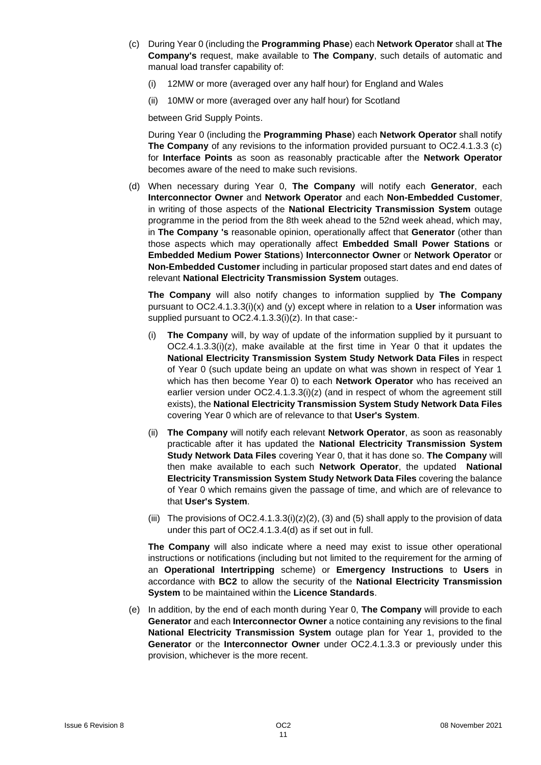- (c) During Year 0 (including the **Programming Phase**) each **Network Operator** shall at **The Company's** request, make available to **The Company**, such details of automatic and manual load transfer capability of:
	- (i) 12MW or more (averaged over any half hour) for England and Wales
	- (ii) 10MW or more (averaged over any half hour) for Scotland

between Grid Supply Points.

During Year 0 (including the **Programming Phase**) each **Network Operator** shall notify **The Company** of any revisions to the information provided pursuant to OC2.4.1.3.3 (c) for **Interface Points** as soon as reasonably practicable after the **Network Operator** becomes aware of the need to make such revisions.

(d) When necessary during Year 0, **The Company** will notify each **Generator**, each **Interconnector Owner** and **Network Operator** and each **Non-Embedded Customer**, in writing of those aspects of the **National Electricity Transmission System** outage programme in the period from the 8th week ahead to the 52nd week ahead, which may, in **The Company 's** reasonable opinion, operationally affect that **Generator** (other than those aspects which may operationally affect **Embedded Small Power Stations** or **Embedded Medium Power Stations**) **Interconnector Owner** or **Network Operator** or **Non-Embedded Customer** including in particular proposed start dates and end dates of relevant **National Electricity Transmission System** outages.

**The Company** will also notify changes to information supplied by **The Company** pursuant to OC2.4.1.3.3(i)(x) and (y) except where in relation to a **User** information was supplied pursuant to OC2.4.1.3.3(i)(z). In that case:-

- (i) **The Company** will, by way of update of the information supplied by it pursuant to  $OC2.4.1.3.3(i)(z)$ , make available at the first time in Year 0 that it updates the **National Electricity Transmission System Study Network Data Files** in respect of Year 0 (such update being an update on what was shown in respect of Year 1 which has then become Year 0) to each **Network Operator** who has received an earlier version under OC2.4.1.3.3(i)(z) (and in respect of whom the agreement still exists), the **National Electricity Transmission System Study Network Data Files** covering Year 0 which are of relevance to that **User's System**.
- (ii) **The Company** will notify each relevant **Network Operator**, as soon as reasonably practicable after it has updated the **National Electricity Transmission System Study Network Data Files** covering Year 0, that it has done so. **The Company** will then make available to each such **Network Operator**, the updated **National Electricity Transmission System Study Network Data Files** covering the balance of Year 0 which remains given the passage of time, and which are of relevance to that **User's System**.
- (iii) The provisions of  $OC2.4.1.3.3(i)(z)(2)$ , (3) and (5) shall apply to the provision of data under this part of OC2.4.1.3.4(d) as if set out in full.

**The Company** will also indicate where a need may exist to issue other operational instructions or notifications (including but not limited to the requirement for the arming of an **Operational Intertripping** scheme) or **Emergency Instructions** to **Users** in accordance with **BC2** to allow the security of the **National Electricity Transmission System** to be maintained within the **Licence Standards**.

(e) In addition, by the end of each month during Year 0, **The Company** will provide to each **Generator** and each **Interconnector Owner** a notice containing any revisions to the final **National Electricity Transmission System** outage plan for Year 1, provided to the **Generator** or the **Interconnector Owner** under OC2.4.1.3.3 or previously under this provision, whichever is the more recent.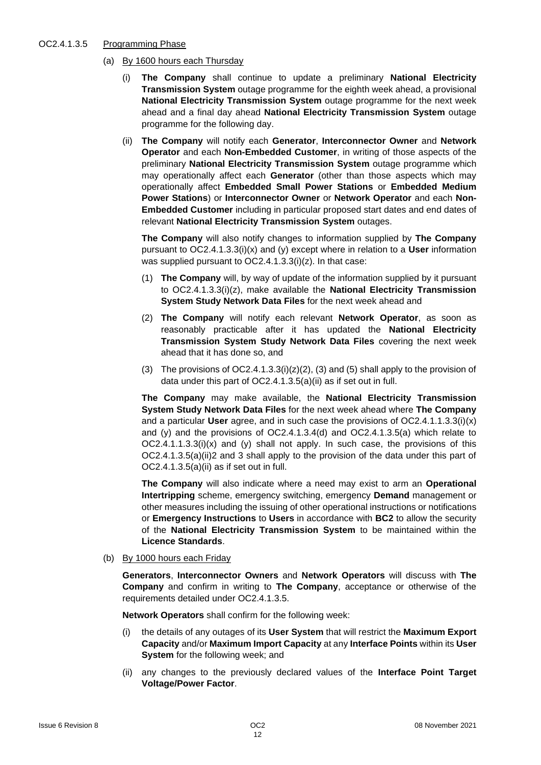#### OC2.4.1.3.5 Programming Phase

- (a) By 1600 hours each Thursday
	- (i) **The Company** shall continue to update a preliminary **National Electricity Transmission System** outage programme for the eighth week ahead, a provisional **National Electricity Transmission System** outage programme for the next week ahead and a final day ahead **National Electricity Transmission System** outage programme for the following day.
	- (ii) **The Company** will notify each **Generator**, **Interconnector Owner** and **Network Operator** and each **Non-Embedded Customer**, in writing of those aspects of the preliminary **National Electricity Transmission System** outage programme which may operationally affect each **Generator** (other than those aspects which may operationally affect **Embedded Small Power Stations** or **Embedded Medium Power Stations**) or **Interconnector Owner** or **Network Operator** and each **Non-Embedded Customer** including in particular proposed start dates and end dates of relevant **National Electricity Transmission System** outages.

**The Company** will also notify changes to information supplied by **The Company** pursuant to OC2.4.1.3.3(i)(x) and (y) except where in relation to a **User** information was supplied pursuant to OC2.4.1.3.3(i)(z). In that case:

- (1) **The Company** will, by way of update of the information supplied by it pursuant to OC2.4.1.3.3(i)(z), make available the **National Electricity Transmission System Study Network Data Files** for the next week ahead and
- (2) **The Company** will notify each relevant **Network Operator**, as soon as reasonably practicable after it has updated the **National Electricity Transmission System Study Network Data Files** covering the next week ahead that it has done so, and
- (3) The provisions of  $OC2.4.1.3.3(i)(z)(2)$ , (3) and (5) shall apply to the provision of data under this part of OC2.4.1.3.5(a)(ii) as if set out in full.

**The Company** may make available, the **National Electricity Transmission System Study Network Data Files** for the next week ahead where **The Company**  and a particular **User** agree, and in such case the provisions of OC2.4.1.1.3.3(i)(x) and (y) and the provisions of OC2.4.1.3.4(d) and OC2.4.1.3.5(a) which relate to  $OC2.4.1.1.3.3(i)(x)$  and (y) shall not apply. In such case, the provisions of this OC2.4.1.3.5(a)(ii)2 and 3 shall apply to the provision of the data under this part of OC2.4.1.3.5(a)(ii) as if set out in full.

**The Company** will also indicate where a need may exist to arm an **Operational Intertripping** scheme, emergency switching, emergency **Demand** management or other measures including the issuing of other operational instructions or notifications or **Emergency Instructions** to **Users** in accordance with **BC2** to allow the security of the **National Electricity Transmission System** to be maintained within the **Licence Standards**.

(b) By 1000 hours each Friday

**Generators**, **Interconnector Owners** and **Network Operators** will discuss with **The Company** and confirm in writing to **The Company**, acceptance or otherwise of the requirements detailed under OC2.4.1.3.5.

**Network Operators** shall confirm for the following week:

- (i) the details of any outages of its **User System** that will restrict the **Maximum Export Capacity** and/or **Maximum Import Capacity** at any **Interface Points** within its **User System** for the following week; and
- (ii) any changes to the previously declared values of the **Interface Point Target Voltage/Power Factor**.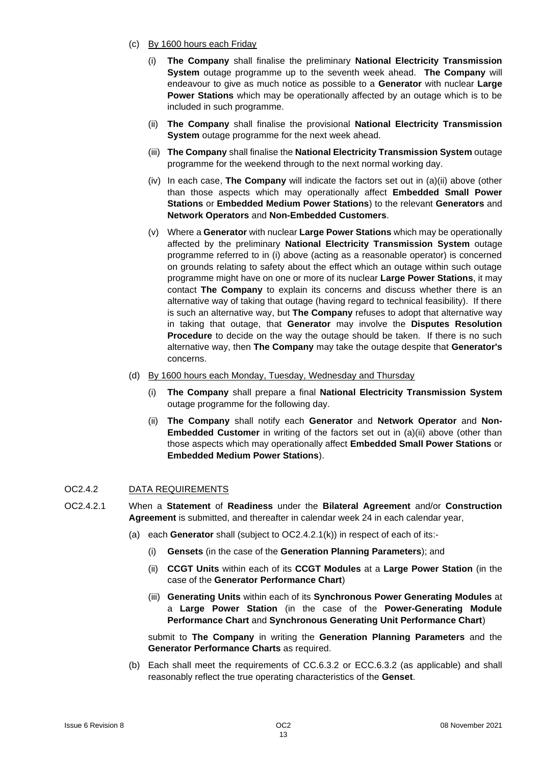- (c) By 1600 hours each Friday
	- (i) **The Company** shall finalise the preliminary **National Electricity Transmission System** outage programme up to the seventh week ahead. **The Company** will endeavour to give as much notice as possible to a **Generator** with nuclear **Large Power Stations** which may be operationally affected by an outage which is to be included in such programme.
	- (ii) **The Company** shall finalise the provisional **National Electricity Transmission System** outage programme for the next week ahead.
	- (iii) **The Company** shall finalise the **National Electricity Transmission System** outage programme for the weekend through to the next normal working day.
	- (iv) In each case, **The Company** will indicate the factors set out in (a)(ii) above (other than those aspects which may operationally affect **Embedded Small Power Stations** or **Embedded Medium Power Stations**) to the relevant **Generators** and **Network Operators** and **Non-Embedded Customers**.
	- (v) Where a **Generator** with nuclear **Large Power Stations** which may be operationally affected by the preliminary **National Electricity Transmission System** outage programme referred to in (i) above (acting as a reasonable operator) is concerned on grounds relating to safety about the effect which an outage within such outage programme might have on one or more of its nuclear **Large Power Stations**, it may contact **The Company** to explain its concerns and discuss whether there is an alternative way of taking that outage (having regard to technical feasibility). If there is such an alternative way, but **The Company** refuses to adopt that alternative way in taking that outage, that **Generator** may involve the **Disputes Resolution Procedure** to decide on the way the outage should be taken. If there is no such alternative way, then **The Company** may take the outage despite that **Generator's** concerns.
- (d) By 1600 hours each Monday, Tuesday, Wednesday and Thursday
	- (i) **The Company** shall prepare a final **National Electricity Transmission System** outage programme for the following day.
	- (ii) **The Company** shall notify each **Generator** and **Network Operator** and **Non-Embedded Customer** in writing of the factors set out in (a)(ii) above (other than those aspects which may operationally affect **Embedded Small Power Stations** or **Embedded Medium Power Stations**).

### OC2.4.2 DATA REQUIREMENTS

- OC2.4.2.1 When a **Statement** of **Readiness** under the **Bilateral Agreement** and/or **Construction Agreement** is submitted, and thereafter in calendar week 24 in each calendar year,
	- (a) each **Generator** shall (subject to OC2.4.2.1(k)) in respect of each of its:-
		- (i) **Gensets** (in the case of the **Generation Planning Parameters**); and
		- (ii) **CCGT Units** within each of its **CCGT Modules** at a **Large Power Station** (in the case of the **Generator Performance Chart**)
		- (iii) **Generating Units** within each of its **Synchronous Power Generating Modules** at a **Large Power Station** (in the case of the **Power-Generating Module Performance Chart** and **Synchronous Generating Unit Performance Chart**)

submit to **The Company** in writing the **Generation Planning Parameters** and the **Generator Performance Charts** as required.

(b) Each shall meet the requirements of CC.6.3.2 or ECC.6.3.2 (as applicable) and shall reasonably reflect the true operating characteristics of the **Genset**.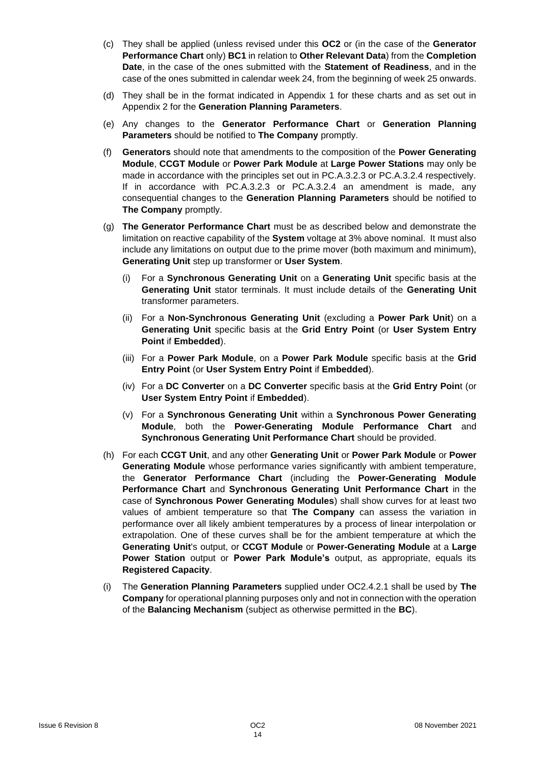- (c) They shall be applied (unless revised under this **OC2** or (in the case of the **Generator Performance Chart** only) **BC1** in relation to **Other Relevant Data**) from the **Completion Date**, in the case of the ones submitted with the **Statement of Readiness**, and in the case of the ones submitted in calendar week 24, from the beginning of week 25 onwards.
- (d) They shall be in the format indicated in Appendix 1 for these charts and as set out in Appendix 2 for the **Generation Planning Parameters**.
- (e) Any changes to the **Generator Performance Chart** or **Generation Planning Parameters** should be notified to **The Company** promptly.
- (f) **Generators** should note that amendments to the composition of the **Power Generating Module**, **CCGT Module** or **Power Park Module** at **Large Power Stations** may only be made in accordance with the principles set out in PC.A.3.2.3 or PC.A.3.2.4 respectively. If in accordance with PC.A.3.2.3 or PC.A.3.2.4 an amendment is made, any consequential changes to the **Generation Planning Parameters** should be notified to **The Company** promptly.
- (g) **The Generator Performance Chart** must be as described below and demonstrate the limitation on reactive capability of the **System** voltage at 3% above nominal. It must also include any limitations on output due to the prime mover (both maximum and minimum), **Generating Unit** step up transformer or **User System**.
	- (i) For a **Synchronous Generating Unit** on a **Generating Unit** specific basis at the **Generating Unit** stator terminals. It must include details of the **Generating Unit**  transformer parameters.
	- (ii) For a **Non-Synchronous Generating Unit** (excluding a **Power Park Unit**) on a **Generating Unit** specific basis at the **Grid Entry Point** (or **User System Entry Point** if **Embedded**).
	- (iii) For a **Power Park Module**, on a **Power Park Module** specific basis at the **Grid Entry Point** (or **User System Entry Point** if **Embedded**).
	- (iv) For a **DC Converter** on a **DC Converter** specific basis at the **Grid Entry Poin**t (or **User System Entry Point** if **Embedded**).
	- (v) For a **Synchronous Generating Unit** within a **Synchronous Power Generating Module**, both the **Power-Generating Module Performance Chart** and **Synchronous Generating Unit Performance Chart** should be provided.
- (h) For each **CCGT Unit**, and any other **Generating Unit** or **Power Park Module** or **Power Generating Module** whose performance varies significantly with ambient temperature, the **Generator Performance Chart** (including the **Power-Generating Module Performance Chart** and **Synchronous Generating Unit Performance Chart** in the case of **Synchronous Power Generating Modules**) shall show curves for at least two values of ambient temperature so that **The Company** can assess the variation in performance over all likely ambient temperatures by a process of linear interpolation or extrapolation. One of these curves shall be for the ambient temperature at which the **Generating Unit**'s output, or **CCGT Module** or **Power-Generating Module** at a **Large Power Station** output or **Power Park Module's** output, as appropriate, equals its **Registered Capacity**.
- (i) The **Generation Planning Parameters** supplied under OC2.4.2.1 shall be used by **The Company** for operational planning purposes only and not in connection with the operation of the **Balancing Mechanism** (subject as otherwise permitted in the **BC**).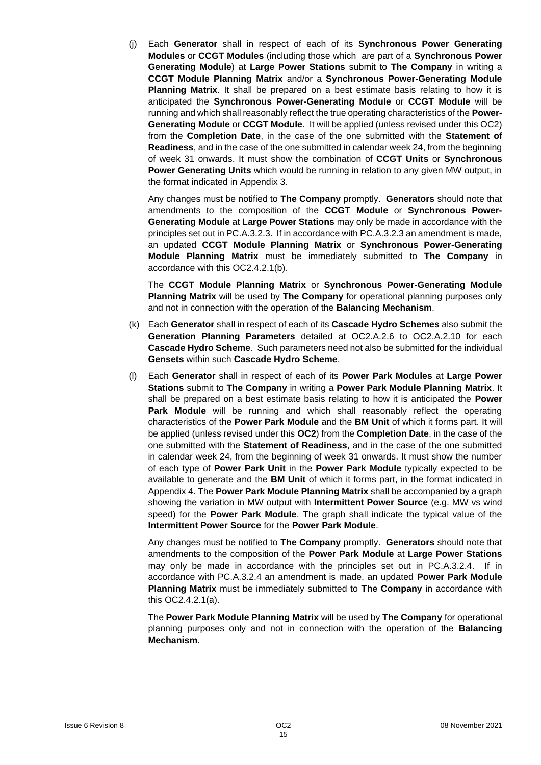(j) Each **Generator** shall in respect of each of its **Synchronous Power Generating Modules** or **CCGT Modules** (including those which are part of a **Synchronous Power Generating Module**) at **Large Power Stations** submit to **The Company** in writing a **CCGT Module Planning Matrix** and/or a **Synchronous Power-Generating Module Planning Matrix**. It shall be prepared on a best estimate basis relating to how it is anticipated the **Synchronous Power-Generating Module** or **CCGT Module** will be running and which shall reasonably reflect the true operating characteristics of the **Power-Generating Module** or **CCGT Module**. It will be applied (unless revised under this OC2) from the **Completion Date**, in the case of the one submitted with the **Statement of Readiness**, and in the case of the one submitted in calendar week 24, from the beginning of week 31 onwards. It must show the combination of **CCGT Units** or **Synchronous Power Generating Units** which would be running in relation to any given MW output, in the format indicated in Appendix 3.

Any changes must be notified to **The Company** promptly. **Generators** should note that amendments to the composition of the **CCGT Module** or **Synchronous Power-Generating Module** at **Large Power Stations** may only be made in accordance with the principles set out in PC.A.3.2.3. If in accordance with PC.A.3.2.3 an amendment is made, an updated **CCGT Module Planning Matrix** or **Synchronous Power-Generating Module Planning Matrix** must be immediately submitted to **The Company** in accordance with this OC2.4.2.1(b).

The **CCGT Module Planning Matrix** or **Synchronous Power-Generating Module Planning Matrix** will be used by **The Company** for operational planning purposes only and not in connection with the operation of the **Balancing Mechanism**.

- (k) Each **Generator** shall in respect of each of its **Cascade Hydro Schemes** also submit the **Generation Planning Parameters** detailed at OC2.A.2.6 to OC2.A.2.10 for each **Cascade Hydro Scheme**. Such parameters need not also be submitted for the individual **Gensets** within such **Cascade Hydro Scheme**.
- (l) Each **Generator** shall in respect of each of its **Power Park Modules** at **Large Power Stations** submit to **The Company** in writing a **Power Park Module Planning Matrix**. It shall be prepared on a best estimate basis relating to how it is anticipated the **Power Park Module** will be running and which shall reasonably reflect the operating characteristics of the **Power Park Module** and the **BM Unit** of which it forms part. It will be applied (unless revised under this **OC2**) from the **Completion Date**, in the case of the one submitted with the **Statement of Readiness**, and in the case of the one submitted in calendar week 24, from the beginning of week 31 onwards. It must show the number of each type of **Power Park Unit** in the **Power Park Module** typically expected to be available to generate and the **BM Unit** of which it forms part, in the format indicated in Appendix 4. The **Power Park Module Planning Matrix** shall be accompanied by a graph showing the variation in MW output with **Intermittent Power Source** (e.g. MW vs wind speed) for the **Power Park Module**. The graph shall indicate the typical value of the **Intermittent Power Source** for the **Power Park Module**.

Any changes must be notified to **The Company** promptly. **Generators** should note that amendments to the composition of the **Power Park Module** at **Large Power Stations**  may only be made in accordance with the principles set out in PC.A.3.2.4. If in accordance with PC.A.3.2.4 an amendment is made, an updated **Power Park Module Planning Matrix** must be immediately submitted to **The Company** in accordance with this OC2.4.2.1(a).

The **Power Park Module Planning Matrix** will be used by **The Company** for operational planning purposes only and not in connection with the operation of the **Balancing Mechanism**.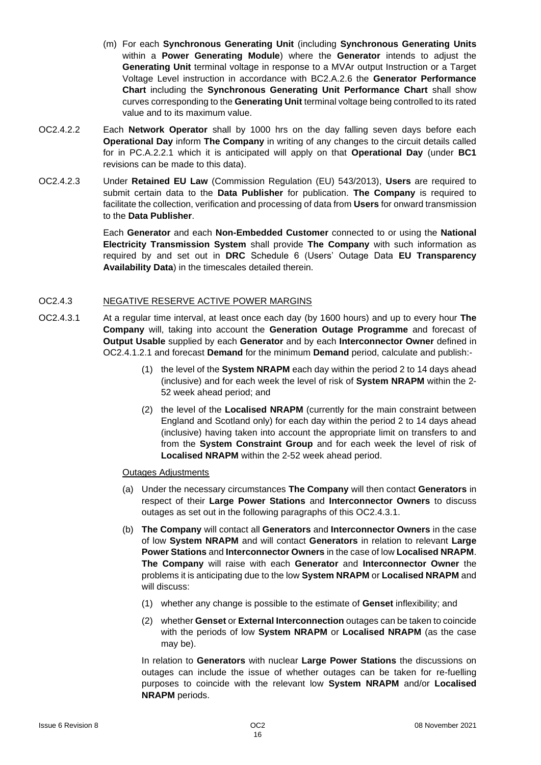- (m) For each **Synchronous Generating Unit** (including **Synchronous Generating Units** within a **Power Generating Module**) where the **Generator** intends to adjust the **Generating Unit** terminal voltage in response to a MVAr output Instruction or a Target Voltage Level instruction in accordance with BC2.A.2.6 the **Generator Performance Chart** including the **Synchronous Generating Unit Performance Chart** shall show curves corresponding to the **Generating Unit** terminal voltage being controlled to its rated value and to its maximum value.
- OC2.4.2.2 Each **Network Operator** shall by 1000 hrs on the day falling seven days before each **Operational Day** inform **The Company** in writing of any changes to the circuit details called for in PC.A.2.2.1 which it is anticipated will apply on that **Operational Day** (under **BC1** revisions can be made to this data).
- OC2.4.2.3 Under **Retained EU Law** (Commission Regulation (EU) 543/2013), **Users** are required to submit certain data to the **Data Publisher** for publication. **The Company** is required to facilitate the collection, verification and processing of data from **Users** for onward transmission to the **Data Publisher**.

Each **Generator** and each **Non-Embedded Customer** connected to or using the **National Electricity Transmission System** shall provide **The Company** with such information as required by and set out in **DRC** Schedule 6 (Users' Outage Data **EU Transparency Availability Data**) in the timescales detailed therein.

### OC2.4.3 NEGATIVE RESERVE ACTIVE POWER MARGINS

- OC2.4.3.1 At a regular time interval, at least once each day (by 1600 hours) and up to every hour **The Company** will, taking into account the **Generation Outage Programme** and forecast of **Output Usable** supplied by each **Generator** and by each **Interconnector Owner** defined in OC2.4.1.2.1 and forecast **Demand** for the minimum **Demand** period, calculate and publish:-
	- (1) the level of the **System NRAPM** each day within the period 2 to 14 days ahead (inclusive) and for each week the level of risk of **System NRAPM** within the 2- 52 week ahead period; and
	- (2) the level of the **Localised NRAPM** (currently for the main constraint between England and Scotland only) for each day within the period 2 to 14 days ahead (inclusive) having taken into account the appropriate limit on transfers to and from the **System Constraint Group** and for each week the level of risk of **Localised NRAPM** within the 2-52 week ahead period.

#### Outages Adjustments

- (a) Under the necessary circumstances **The Company** will then contact **Generators** in respect of their **Large Power Stations** and **Interconnector Owners** to discuss outages as set out in the following paragraphs of this OC2.4.3.1.
- (b) **The Company** will contact all **Generators** and **Interconnector Owners** in the case of low **System NRAPM** and will contact **Generators** in relation to relevant **Large Power Stations** and **Interconnector Owners** in the case of low **Localised NRAPM**. **The Company** will raise with each **Generator** and **Interconnector Owner** the problems it is anticipating due to the low **System NRAPM** or **Localised NRAPM** and will discuss:
	- (1) whether any change is possible to the estimate of **Genset** inflexibility; and
	- (2) whether **Genset** or **External Interconnection** outages can be taken to coincide with the periods of low **System NRAPM** or **Localised NRAPM** (as the case may be).

In relation to **Generators** with nuclear **Large Power Stations** the discussions on outages can include the issue of whether outages can be taken for re-fuelling purposes to coincide with the relevant low **System NRAPM** and/or **Localised NRAPM** periods.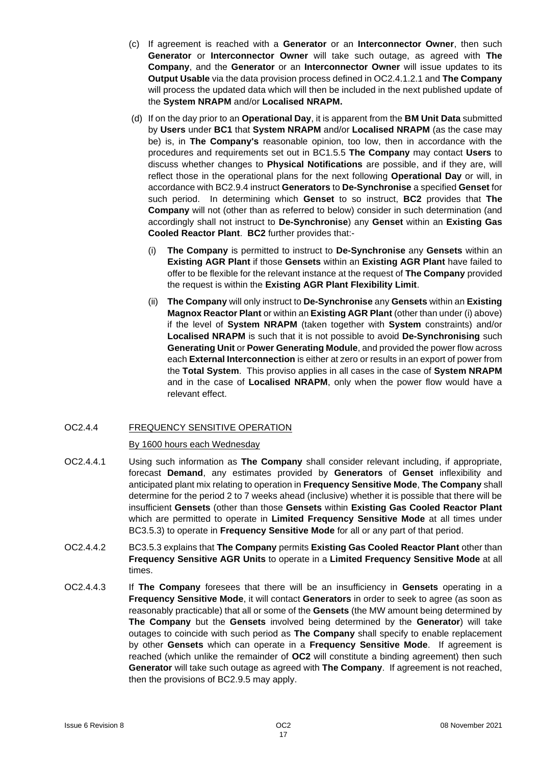- (c) If agreement is reached with a **Generator** or an **Interconnector Owner**, then such **Generator** or **Interconnector Owner** will take such outage, as agreed with **The Company**, and the **Generator** or an **Interconnector Owner** will issue updates to its **Output Usable** via the data provision process defined in OC2.4.1.2.1 and **The Company**  will process the updated data which will then be included in the next published update of the **System NRAPM** and/or **Localised NRAPM.**
- (d) If on the day prior to an **Operational Day**, it is apparent from the **BM Unit Data** submitted by **Users** under **BC1** that **System NRAPM** and/or **Localised NRAPM** (as the case may be) is, in **The Company's** reasonable opinion, too low, then in accordance with the procedures and requirements set out in BC1.5.5 **The Company** may contact **Users** to discuss whether changes to **Physical Notifications** are possible, and if they are, will reflect those in the operational plans for the next following **Operational Day** or will, in accordance with BC2.9.4 instruct **Generators** to **De-Synchronise** a specified **Genset** for such period. In determining which **Genset** to so instruct, **BC2** provides that **The Company** will not (other than as referred to below) consider in such determination (and accordingly shall not instruct to **De-Synchronise**) any **Genset** within an **Existing Gas Cooled Reactor Plant**. **BC2** further provides that:-
	- (i) **The Company** is permitted to instruct to **De-Synchronise** any **Gensets** within an **Existing AGR Plant** if those **Gensets** within an **Existing AGR Plant** have failed to offer to be flexible for the relevant instance at the request of **The Company** provided the request is within the **Existing AGR Plant Flexibility Limit**.
	- (ii) **The Company** will only instruct to **De-Synchronise** any **Gensets** within an **Existing Magnox Reactor Plant** or within an **Existing AGR Plant** (other than under (i) above) if the level of **System NRAPM** (taken together with **System** constraints) and/or **Localised NRAPM** is such that it is not possible to avoid **De-Synchronising** such **Generating Unit** or **Power Generating Module**, and provided the power flow across each **External Interconnection** is either at zero or results in an export of power from the **Total System**. This proviso applies in all cases in the case of **System NRAPM** and in the case of **Localised NRAPM**, only when the power flow would have a relevant effect.

### OC2.4.4 FREQUENCY SENSITIVE OPERATION

### By 1600 hours each Wednesday

- OC2.4.4.1 Using such information as **The Company** shall consider relevant including, if appropriate, forecast **Demand**, any estimates provided by **Generators** of **Genset** inflexibility and anticipated plant mix relating to operation in **Frequency Sensitive Mode**, **The Company** shall determine for the period 2 to 7 weeks ahead (inclusive) whether it is possible that there will be insufficient **Gensets** (other than those **Gensets** within **Existing Gas Cooled Reactor Plant** which are permitted to operate in **Limited Frequency Sensitive Mode** at all times under BC3.5.3) to operate in **Frequency Sensitive Mode** for all or any part of that period.
- OC2.4.4.2 BC3.5.3 explains that **The Company** permits **Existing Gas Cooled Reactor Plant** other than **Frequency Sensitive AGR Units** to operate in a **Limited Frequency Sensitive Mode** at all times.
- OC2.4.4.3 If **The Company** foresees that there will be an insufficiency in **Gensets** operating in a **Frequency Sensitive Mode**, it will contact **Generators** in order to seek to agree (as soon as reasonably practicable) that all or some of the **Gensets** (the MW amount being determined by **The Company** but the **Gensets** involved being determined by the **Generator**) will take outages to coincide with such period as **The Company** shall specify to enable replacement by other **Gensets** which can operate in a **Frequency Sensitive Mode**. If agreement is reached (which unlike the remainder of **OC2** will constitute a binding agreement) then such **Generator** will take such outage as agreed with **The Company**. If agreement is not reached, then the provisions of BC2.9.5 may apply.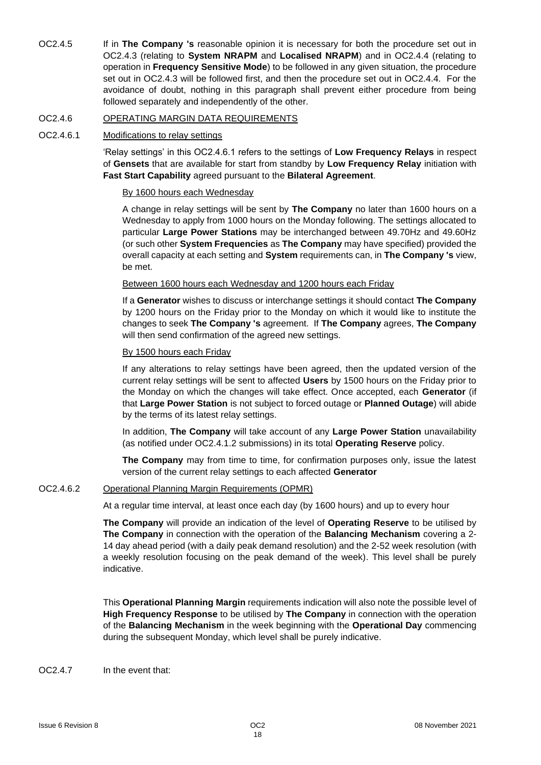OC2.4.5 If in **The Company 's** reasonable opinion it is necessary for both the procedure set out in OC2.4.3 (relating to **System NRAPM** and **Localised NRAPM**) and in OC2.4.4 (relating to operation in **Frequency Sensitive Mode**) to be followed in any given situation, the procedure set out in OC2.4.3 will be followed first, and then the procedure set out in OC2.4.4. For the avoidance of doubt, nothing in this paragraph shall prevent either procedure from being followed separately and independently of the other.

#### OC2.4.6 OPERATING MARGIN DATA REQUIREMENTS

#### OC2.4.6.1 Modifications to relay settings

'Relay settings' in this OC2.4.6.1 refers to the settings of **Low Frequency Relays** in respect of **Gensets** that are available for start from standby by **Low Frequency Relay** initiation with **Fast Start Capability** agreed pursuant to the **Bilateral Agreement**.

#### By 1600 hours each Wednesday

A change in relay settings will be sent by **The Company** no later than 1600 hours on a Wednesday to apply from 1000 hours on the Monday following. The settings allocated to particular **Large Power Stations** may be interchanged between 49.70Hz and 49.60Hz (or such other **System Frequencies** as **The Company** may have specified) provided the overall capacity at each setting and **System** requirements can, in **The Company 's** view, be met.

#### Between 1600 hours each Wednesday and 1200 hours each Friday

If a **Generator** wishes to discuss or interchange settings it should contact **The Company** by 1200 hours on the Friday prior to the Monday on which it would like to institute the changes to seek **The Company 's** agreement. If **The Company** agrees, **The Company** will then send confirmation of the agreed new settings.

#### By 1500 hours each Friday

If any alterations to relay settings have been agreed, then the updated version of the current relay settings will be sent to affected **Users** by 1500 hours on the Friday prior to the Monday on which the changes will take effect. Once accepted, each **Generator** (if that **Large Power Station** is not subject to forced outage or **Planned Outage**) will abide by the terms of its latest relay settings.

In addition, **The Company** will take account of any **Large Power Station** unavailability (as notified under OC2.4.1.2 submissions) in its total **Operating Reserve** policy.

**The Company** may from time to time, for confirmation purposes only, issue the latest version of the current relay settings to each affected **Generator**

### OC2.4.6.2 Operational Planning Margin Requirements (OPMR)

At a regular time interval, at least once each day (by 1600 hours) and up to every hour

**The Company** will provide an indication of the level of **Operating Reserve** to be utilised by **The Company** in connection with the operation of the **Balancing Mechanism** covering a 2- 14 day ahead period (with a daily peak demand resolution) and the 2-52 week resolution (with a weekly resolution focusing on the peak demand of the week). This level shall be purely indicative.

This **Operational Planning Margin** requirements indication will also note the possible level of **High Frequency Response** to be utilised by **The Company** in connection with the operation of the **Balancing Mechanism** in the week beginning with the **Operational Day** commencing during the subsequent Monday, which level shall be purely indicative.

### OC2.4.7 In the event that: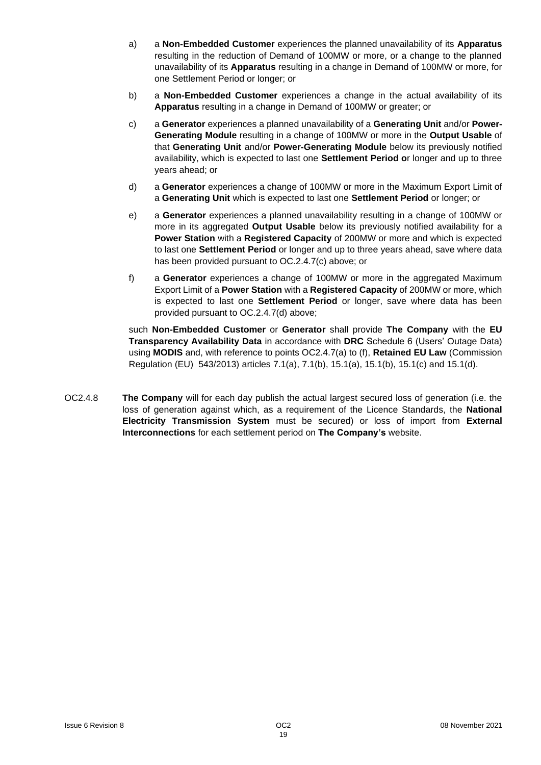- a) a **Non-Embedded Customer** experiences the planned unavailability of its **Apparatus**  resulting in the reduction of Demand of 100MW or more, or a change to the planned unavailability of its **Apparatus** resulting in a change in Demand of 100MW or more, for one Settlement Period or longer; or
- b) a **Non-Embedded Customer** experiences a change in the actual availability of its **Apparatus** resulting in a change in Demand of 100MW or greater; or
- c) a **Generator** experiences a planned unavailability of a **Generating Unit** and/or **Power-Generating Module** resulting in a change of 100MW or more in the **Output Usable** of that **Generating Unit** and/or **Power-Generating Module** below its previously notified availability, which is expected to last one **Settlement Period o**r longer and up to three years ahead; or
- d) a **Generator** experiences a change of 100MW or more in the Maximum Export Limit of a **Generating Unit** which is expected to last one **Settlement Period** or longer; or
- e) a **Generator** experiences a planned unavailability resulting in a change of 100MW or more in its aggregated **Output Usable** below its previously notified availability for a **Power Station** with a **Registered Capacity** of 200MW or more and which is expected to last one **Settlement Period** or longer and up to three years ahead, save where data has been provided pursuant to OC.2.4.7(c) above; or
- f) a **Generator** experiences a change of 100MW or more in the aggregated Maximum Export Limit of a **Power Station** with a **Registered Capacity** of 200MW or more, which is expected to last one **Settlement Period** or longer, save where data has been provided pursuant to OC.2.4.7(d) above;

such **Non-Embedded Customer** or **Generator** shall provide **The Company** with the **EU Transparency Availability Data** in accordance with **DRC** Schedule 6 (Users' Outage Data) using **MODIS** and, with reference to points OC2.4.7(a) to (f), **Retained EU Law** (Commission Regulation (EU) 543/2013) articles 7.1(a), 7.1(b), 15.1(a), 15.1(b), 15.1(c) and 15.1(d).

OC2.4.8 **The Company** will for each day publish the actual largest secured loss of generation (i.e. the loss of generation against which, as a requirement of the Licence Standards, the **National Electricity Transmission System** must be secured) or loss of import from **External Interconnections** for each settlement period on **The Company's** website.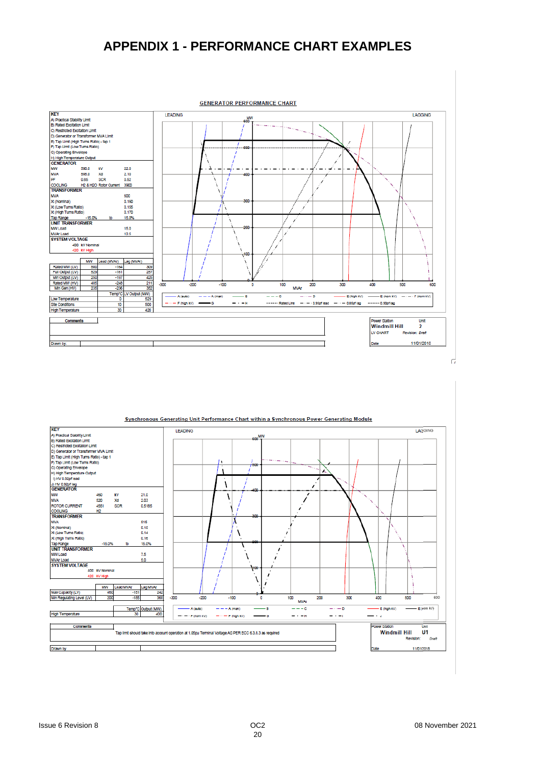# **APPENDIX 1 - PERFORMANCE CHART EXAMPLES**



| <b>KEY</b>                              |                |            |                                 | <b>LEADING</b> |                            |                       |                                                                                                        |     |             |               |     |               |                      | LAGGING        |
|-----------------------------------------|----------------|------------|---------------------------------|----------------|----------------------------|-----------------------|--------------------------------------------------------------------------------------------------------|-----|-------------|---------------|-----|---------------|----------------------|----------------|
| A) Practical Stability Limit            |                |            |                                 |                |                            |                       | $\rm 600^{MW}$                                                                                         |     |             |               |     |               |                      |                |
| B) Rated Excitation Limit               |                |            |                                 |                |                            |                       |                                                                                                        |     |             |               |     |               |                      |                |
| C) Restricted Excitation Limit          |                |            |                                 |                |                            |                       |                                                                                                        |     |             |               |     |               |                      |                |
| D) Generator or Transformer MVA Limit   |                |            |                                 |                |                            |                       |                                                                                                        |     |             |               |     |               |                      |                |
| E) Tap Limit (High Turns Ratio) - tap 1 |                |            |                                 |                |                            |                       |                                                                                                        |     |             |               |     |               |                      |                |
| F) Tap Limit (Low Turns Ratio)          |                |            |                                 |                |                            | ٠                     |                                                                                                        |     |             |               |     |               |                      |                |
| G) Operating Envelope                   |                |            |                                 |                |                            |                       | 600                                                                                                    |     |             |               |     |               |                      |                |
| H) High Temperature Output              |                |            |                                 |                |                            |                       |                                                                                                        |     |             |               |     |               |                      |                |
| I) HV 0.92př lead                       |                |            |                                 |                |                            |                       |                                                                                                        |     |             |               |     |               |                      |                |
| J) HV 0.92pf lag                        |                |            |                                 |                |                            |                       |                                                                                                        |     |             |               |     |               |                      |                |
| <b>GENERATOR</b>                        |                |            |                                 |                |                            |                       | 4DC                                                                                                    |     |             |               |     |               |                      |                |
| <b>MW</b>                               | 460            | k٧         | 21.0                            |                |                            |                       |                                                                                                        |     |             |               |     |               |                      |                |
| <b>MVA</b>                              | 520            | Xd         | 2.03                            |                |                            |                       |                                                                                                        |     |             |               |     |               |                      |                |
| <b>ROTOR CURRENT</b>                    | 4551           | <b>SCR</b> | 0.5185                          |                |                            |                       |                                                                                                        |     |             |               |     |               |                      |                |
| COOLING                                 | H <sub>2</sub> |            |                                 |                |                            |                       |                                                                                                        |     |             |               |     |               |                      |                |
| <b>TRANSFORMER</b>                      |                |            |                                 |                |                            |                       | 300                                                                                                    |     |             |               |     |               |                      |                |
| <b>MVA</b>                              |                |            | 515                             |                |                            |                       |                                                                                                        |     |             |               |     |               |                      |                |
| Xt (Nominal)                            |                |            | 0.15                            |                |                            |                       |                                                                                                        |     |             |               |     |               |                      |                |
| Xt (Low Tums Ratio)                     |                |            | 0.14                            |                |                            |                       |                                                                                                        |     |             |               |     |               |                      |                |
| Xt (High Tums Ratio)                    |                |            | 0.16                            |                |                            |                       |                                                                                                        |     |             |               |     |               |                      |                |
| <b>Tap Range</b>                        | $-15.0%$       | to         | 15.0%                           |                |                            |                       |                                                                                                        |     |             |               |     |               |                      |                |
| <b>UNIT TRANSFORMER</b>                 |                |            |                                 |                |                            |                       |                                                                                                        |     |             |               |     |               |                      |                |
| MW Load                                 |                |            | 7.5                             |                |                            |                       |                                                                                                        |     |             |               |     |               |                      |                |
| <b>MVAr Load</b>                        |                |            | 5.0                             |                |                            |                       |                                                                                                        |     |             |               |     |               |                      |                |
| <b>SYSTEM VOLTAGE</b>                   |                |            |                                 |                |                            |                       |                                                                                                        |     |             |               |     |               |                      |                |
|                                         | 400 kV Nominal |            |                                 |                |                            |                       | 400                                                                                                    |     |             |               |     |               |                      |                |
|                                         | 420 KV High    |            |                                 |                |                            |                       |                                                                                                        |     |             |               |     |               |                      |                |
|                                         |                |            |                                 |                |                            |                       |                                                                                                        |     |             |               |     |               |                      |                |
|                                         | MW             | Lead MVAr  | Lag MVAr                        |                |                            |                       |                                                                                                        |     |             |               |     |               |                      |                |
| Max Capacity (LV)                       | 460            | $-151$     | 242                             |                |                            |                       |                                                                                                        |     |             |               |     |               |                      |                |
| Min Regulating Level (LV)               | 200            | $-185$     | 365                             | $-300$         | $-200$                     | $-100$                |                                                                                                        | o   | 100         | 200           | 300 | 400           | 500                  | 600            |
|                                         |                |            |                                 |                |                            |                       |                                                                                                        |     | <b>MVAr</b> |               |     |               |                      |                |
|                                         |                |            | Temp <sup>*</sup> C Output (MW) |                | A (auto)                   | $---A$ (man)          |                                                                                                        | A   | $- - c$     | $- \cdot - n$ |     | E (high KV)   |                      | $-E$ (rom kV)  |
| <b>High Temperature</b>                 |                | 30         | 400                             |                |                            |                       |                                                                                                        |     |             |               |     |               |                      |                |
|                                         |                |            |                                 |                | $-\cdot -\cdot$ F (nom kV) | $-\cdots$ F (high KV) |                                                                                                        | — G | $\cdot -$ H | $- \cdot -$   |     | —             |                      |                |
| Comments                                |                |            |                                 |                |                            |                       |                                                                                                        |     |             |               |     | Power Station |                      | Unit           |
|                                         |                |            |                                 |                |                            |                       | Tap limit should take into account operation at 1.05pu Terminal Voltage AS PER ECC 6.3.8.3 as required |     |             |               |     |               | <b>Windmill Hill</b> | U <sub>1</sub> |
|                                         |                |            |                                 |                |                            |                       |                                                                                                        |     |             |               |     |               | Revision:            | Draft          |
| Drawn by                                |                |            |                                 |                |                            |                       |                                                                                                        |     |             |               |     | Date          |                      | 11/01/2018     |
|                                         |                |            |                                 |                |                            |                       |                                                                                                        |     |             |               |     |               |                      |                |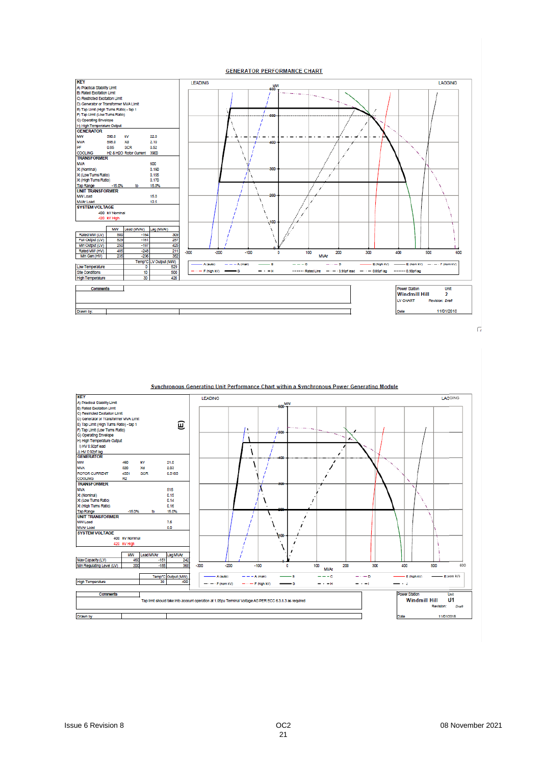

Synchronous Generating Unit Performance Chart within a Synchronous Power Generating Module **KEY** LAGGING LEADING KEY<br>A) Practical Stability Limit<br>B) Rated Excitation Limit<br>C) Restricted Excitation Limit C) Restricted Excitation Limit<br>D) Generator or Transformer MVA Limit<br>E) Tap Limit (High Turns Ratio) - tap 1<br>F) Tap Limit (Low Turns Ratio)<br>G) Operating Envelope<br>H) Hry D 32pr/lead<br>h HAJ n operlane **(E)**-12  $\overline{1}$ j. J) HV 0.92pr lag<br>GENERATOR MW<br>MVA 460 kV  $21.0$  $\lambda$  $\overline{ }$ 520<br>4551 Xd<br>SCR  $2.03$ ROTOR CURRENT 0.5185  $\overline{a}$  $H2$ COOLING<br>TRANSFORMER **INANSPORMER**<br>MVA<br>Xt (Nominal)<br>Xt (Low Turns Ratio)<br>Xt (High Turns Ratio) 515<br>0.15<br>0.14 IX  $\lambda$  $\lambda$  $0.16$ Tap Range<br>UNIT TRANSFORMER  $-15.05$ 15.0% UNIT TRANSFORME<br>MW Load<br>SYSTEM VOLTAGE  $7.5$ ١ 5.0 L<br>400 KV Nominal  $\overline{ }$ 420 kV High ١ ï MW Lead MVAr Lag MVAr Max Capacity (LV)<br>Min Regulating Level (LV)  $\frac{1}{200}$  $-185$ 365  $-300$  $\overline{200}$  $-100$  $\frac{1}{100}$ 200  $\frac{1}{300}$ 400  $500$  $\overline{500}$ ö **MVAr** - E (rom KV) A (auto) -<br>A (man)  $-\epsilon$  $-$ - E (high KV) Temp<sup>+</sup>C Output (MW)<br>30 400 **High Temperature**  $-\cdot-\cdot$  F (nom kV)  $-\cdots -\in$  (high KV)  $\overline{\phantom{a}}$  $-a$  $+$  $-\cdot$ Comments er Station Unit<br>Windmill Hill U1 Tap limit should take into account operation at 1.05pu Terminal Voltage AS PER ECC 6.3.8.3 as required Revision: Draft Drawn by ⊤ 11/01/2018 ℸ Date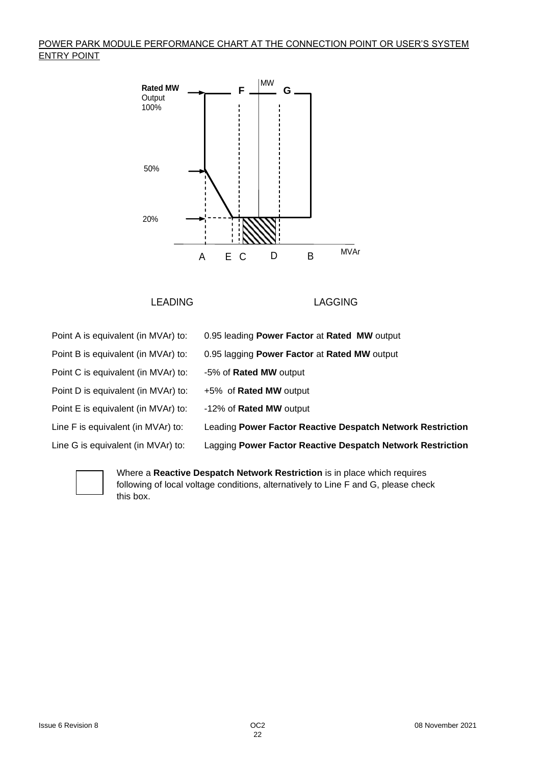## POWER PARK MODULE PERFORMANCE CHART AT THE CONNECTION POINT OR USER'S SYSTEM ENTRY POINT



LEADING LAGGING

| Point A is equivalent (in MVAr) to: | 0.95 leading Power Factor at Rated MW output               |
|-------------------------------------|------------------------------------------------------------|
| Point B is equivalent (in MVAr) to: | 0.95 lagging Power Factor at Rated MW output               |
| Point C is equivalent (in MVAr) to: | -5% of <b>Rated MW</b> output                              |
| Point D is equivalent (in MVAr) to: | +5% of <b>Rated MW</b> output                              |
| Point E is equivalent (in MVAr) to: | -12% of Rated MW output                                    |
| Line F is equivalent (in MVAr) to:  | Leading Power Factor Reactive Despatch Network Restriction |
| Line G is equivalent (in MVAr) to:  | Lagging Power Factor Reactive Despatch Network Restriction |
|                                     |                                                            |



Where a **Reactive Despatch Network Restriction** is in place which requires following of local voltage conditions, alternatively to Line F and G, please check this box.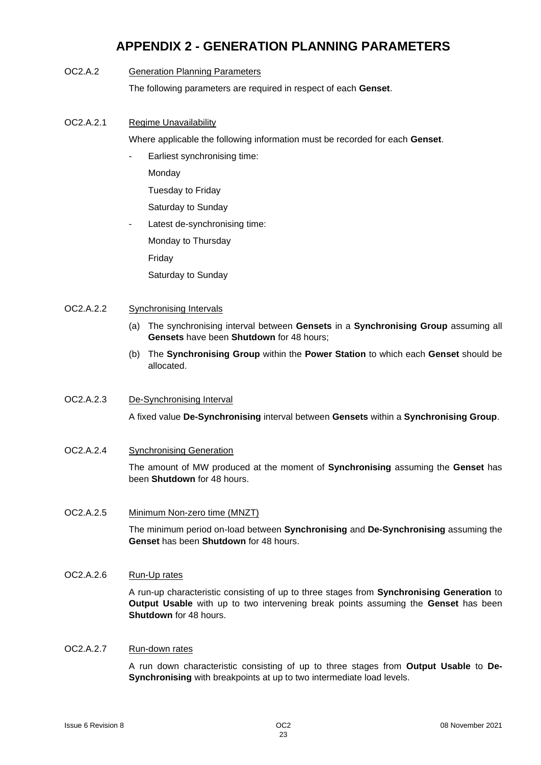# **APPENDIX 2 - GENERATION PLANNING PARAMETERS**

### OC2.A.2 Generation Planning Parameters

The following parameters are required in respect of each **Genset**.

OC2.A.2.1 Regime Unavailability

Where applicable the following information must be recorded for each **Genset**.

Earliest synchronising time:

**Monday** 

Tuesday to Friday

Saturday to Sunday

Latest de-synchronising time:

Monday to Thursday

Friday

Saturday to Sunday

### OC2.A.2.2 Synchronising Intervals

- (a) The synchronising interval between **Gensets** in a **Synchronising Group** assuming all **Gensets** have been **Shutdown** for 48 hours;
- (b) The **Synchronising Group** within the **Power Station** to which each **Genset** should be allocated.

### OC2.A.2.3 De-Synchronising Interval

A fixed value **De-Synchronising** interval between **Gensets** within a **Synchronising Group**.

OC2.A.2.4 Synchronising Generation

The amount of MW produced at the moment of **Synchronising** assuming the **Genset** has been **Shutdown** for 48 hours.

### OC2.A.2.5 Minimum Non-zero time (MNZT)

The minimum period on-load between **Synchronising** and **De-Synchronising** assuming the **Genset** has been **Shutdown** for 48 hours.

## OC2.A.2.6 Run-Up rates

A run-up characteristic consisting of up to three stages from **Synchronising Generation** to **Output Usable** with up to two intervening break points assuming the **Genset** has been **Shutdown** for 48 hours.

### OC2.A.2.7 Run-down rates

A run down characteristic consisting of up to three stages from **Output Usable** to **De-Synchronising** with breakpoints at up to two intermediate load levels.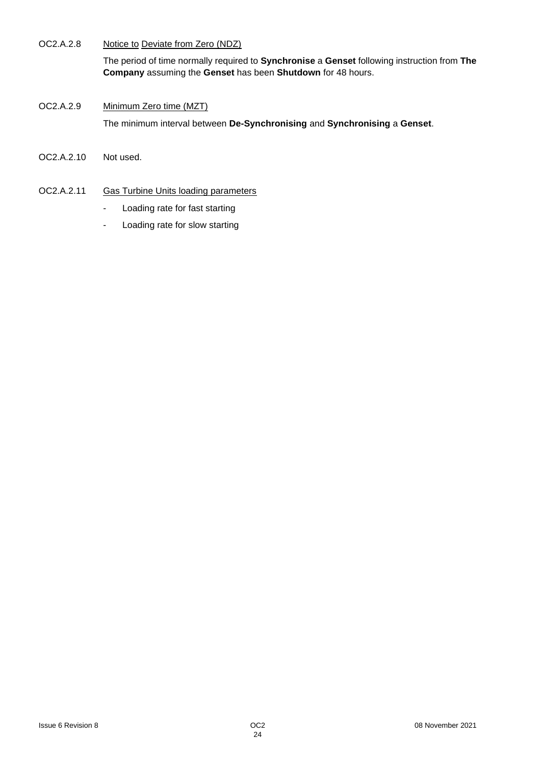OC2.A.2.8 Notice to Deviate from Zero (NDZ)

The period of time normally required to **Synchronise** a **Genset** following instruction from **The Company** assuming the **Genset** has been **Shutdown** for 48 hours.

- OC2.A.2.9 Minimum Zero time (MZT) The minimum interval between **De-Synchronising** and **Synchronising** a **Genset**.
- OC2.A.2.10 Not used.
- OC2.A.2.11 Gas Turbine Units loading parameters
	- Loading rate for fast starting
	- Loading rate for slow starting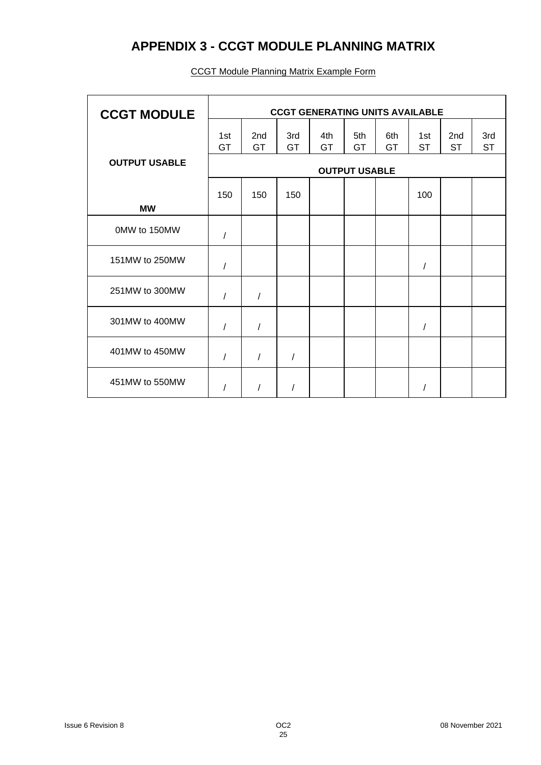# **APPENDIX 3 - CCGT MODULE PLANNING MATRIX**

| <b>CCGT MODULE</b>   | <b>CCGT GENERATING UNITS AVAILABLE</b> |            |            |                  |           |           |                  |                              |                  |  |
|----------------------|----------------------------------------|------------|------------|------------------|-----------|-----------|------------------|------------------------------|------------------|--|
|                      | 1st<br>GT                              | 2nd<br>GT  | 3rd<br>GT  | 4th<br><b>GT</b> | 5th<br>GT | 6th<br>GT | 1st<br><b>ST</b> | 2 <sub>nd</sub><br><b>ST</b> | 3rd<br><b>ST</b> |  |
| <b>OUTPUT USABLE</b> | <b>OUTPUT USABLE</b>                   |            |            |                  |           |           |                  |                              |                  |  |
|                      | 150                                    | 150        | 150        |                  |           |           | 100              |                              |                  |  |
| <b>MW</b>            |                                        |            |            |                  |           |           |                  |                              |                  |  |
| 0MW to 150MW         | $\sqrt{2}$                             |            |            |                  |           |           |                  |                              |                  |  |
| 151MW to 250MW       | $\prime$                               |            |            |                  |           |           | 1                |                              |                  |  |
| 251MW to 300MW       | 1                                      | $\prime$   |            |                  |           |           |                  |                              |                  |  |
| 301MW to 400MW       | $\sqrt{2}$                             | $\sqrt{2}$ |            |                  |           |           | /                |                              |                  |  |
| 401MW to 450MW       | $\sqrt{2}$                             | $\prime$   | $\sqrt{2}$ |                  |           |           |                  |                              |                  |  |
| 451MW to 550MW       |                                        |            |            |                  |           |           |                  |                              |                  |  |

## CCGT Module Planning Matrix Example Form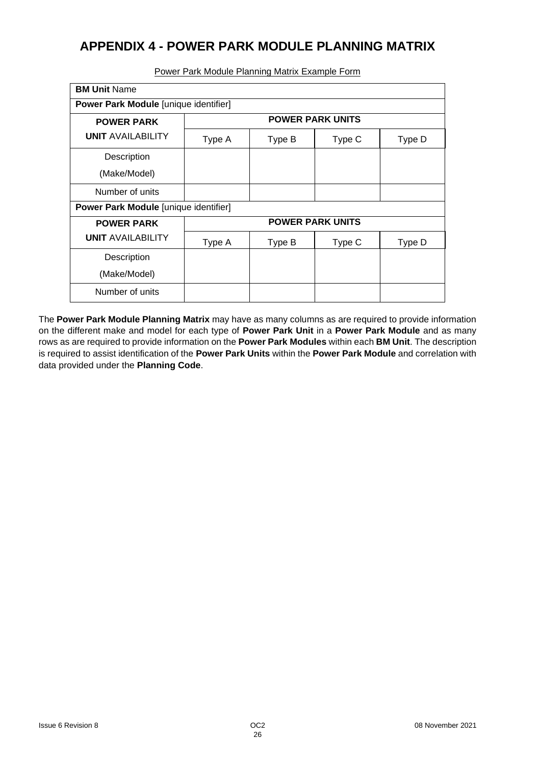# **APPENDIX 4 - POWER PARK MODULE PLANNING MATRIX**

| <b>BM Unit Name</b>                          |                         |        |                         |        |  |  |  |  |  |  |
|----------------------------------------------|-------------------------|--------|-------------------------|--------|--|--|--|--|--|--|
| <b>Power Park Module [unique identifier]</b> |                         |        |                         |        |  |  |  |  |  |  |
| <b>POWER PARK</b>                            | <b>POWER PARK UNITS</b> |        |                         |        |  |  |  |  |  |  |
| <b>UNIT AVAILABILITY</b>                     | Type A                  | Type B | Type C                  | Type D |  |  |  |  |  |  |
| Description                                  |                         |        |                         |        |  |  |  |  |  |  |
| (Make/Model)                                 |                         |        |                         |        |  |  |  |  |  |  |
| Number of units                              |                         |        |                         |        |  |  |  |  |  |  |
| Power Park Module [unique identifier]        |                         |        |                         |        |  |  |  |  |  |  |
| <b>POWER PARK</b>                            |                         |        | <b>POWER PARK UNITS</b> |        |  |  |  |  |  |  |
| <b>UNIT AVAILABILITY</b>                     | Type A                  | Type B | Type C                  | Type D |  |  |  |  |  |  |
| Description                                  |                         |        |                         |        |  |  |  |  |  |  |
| (Make/Model)                                 |                         |        |                         |        |  |  |  |  |  |  |
| Number of units                              |                         |        |                         |        |  |  |  |  |  |  |

Power Park Module Planning Matrix Example Form

The **Power Park Module Planning Matrix** may have as many columns as are required to provide information on the different make and model for each type of **Power Park Unit** in a **Power Park Module** and as many rows as are required to provide information on the **Power Park Modules** within each **BM Unit**. The description is required to assist identification of the **Power Park Units** within the **Power Park Module** and correlation with data provided under the **Planning Code**.